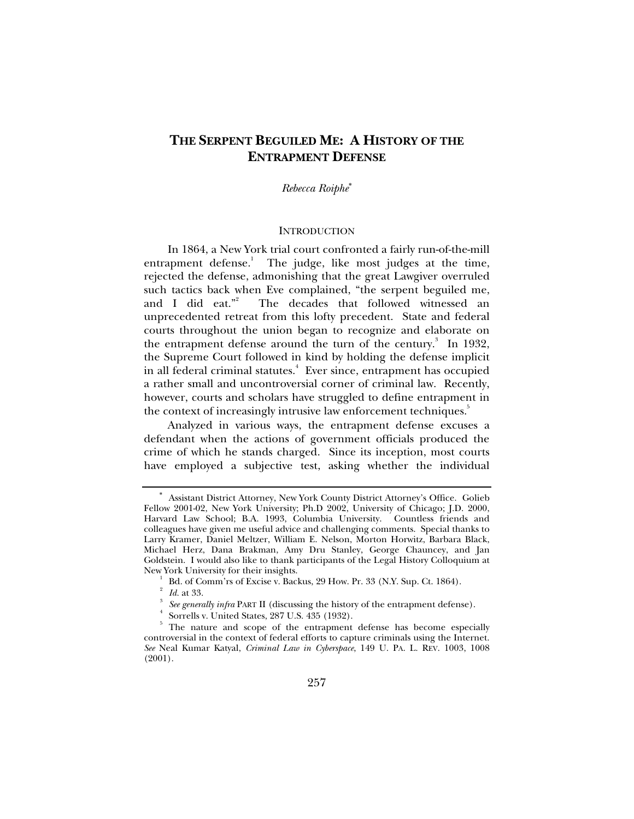# **THE SERPENT BEGUILED ME: A HISTORY OF THE ENTRAPMENT DEFENSE**

*Rebecca Roiphe*<sup>∗</sup>

#### INTRODUCTION

In 1864, a New York trial court confronted a fairly run-of-the-mill entrapment defense.<sup>1</sup> The judge, like most judges at the time, rejected the defense, admonishing that the great Lawgiver overruled such tactics back when Eve complained, "the serpent beguiled me, and I did eat." The decades that followed witnessed an unprecedented retreat from this lofty precedent. State and federal courts throughout the union began to recognize and elaborate on the entrapment defense around the turn of the century.<sup>3</sup> In 1932, the Supreme Court followed in kind by holding the defense implicit in all federal criminal statutes.<sup>4</sup> Ever since, entrapment has occupied a rather small and uncontroversial corner of criminal law. Recently, however, courts and scholars have struggled to define entrapment in the context of increasingly intrusive law enforcement techniques.<sup>5</sup>

Analyzed in various ways, the entrapment defense excuses a defendant when the actions of government officials produced the crime of which he stands charged. Since its inception, most courts have employed a subjective test, asking whether the individual

<sup>∗</sup> Assistant District Attorney, New York County District Attorney's Office. Golieb Fellow 2001-02, New York University; Ph.D 2002, University of Chicago; J.D. 2000, Harvard Law School; B.A. 1993, Columbia University. Countless friends and colleagues have given me useful advice and challenging comments. Special thanks to Larry Kramer, Daniel Meltzer, William E. Nelson, Morton Horwitz, Barbara Black, Michael Herz, Dana Brakman, Amy Dru Stanley, George Chauncey, and Jan Goldstein. I would also like to thank participants of the Legal History Colloquium at New York University for their insights. 1

Bd. of Comm'rs of Excise v. Backus, 29 How. Pr. 33 (N.Y. Sup. Ct. 1864).

<sup>2</sup> *Id.* at 33.

*See generally infra* PART II (discussing the history of the entrapment defense).

Sorrells v. United States, 287 U.S. 435 (1932).

<sup>5</sup> The nature and scope of the entrapment defense has become especially controversial in the context of federal efforts to capture criminals using the Internet. *See* Neal Kumar Katyal, *Criminal Law in Cyberspace*, 149 U. PA. L. REV. 1003, 1008 (2001).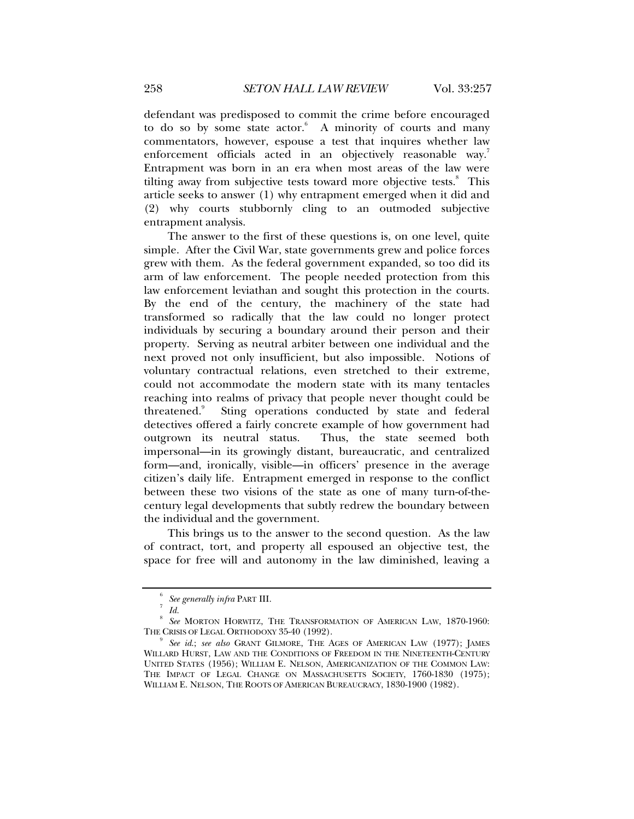defendant was predisposed to commit the crime before encouraged to do so by some state actor.<sup>6</sup> A minority of courts and many commentators, however, espouse a test that inquires whether law enforcement officials acted in an objectively reasonable way.<sup>7</sup> Entrapment was born in an era when most areas of the law were tilting away from subjective tests toward more objective tests.<sup>8</sup> This article seeks to answer (1) why entrapment emerged when it did and (2) why courts stubbornly cling to an outmoded subjective entrapment analysis.

The answer to the first of these questions is, on one level, quite simple. After the Civil War, state governments grew and police forces grew with them. As the federal government expanded, so too did its arm of law enforcement. The people needed protection from this law enforcement leviathan and sought this protection in the courts. By the end of the century, the machinery of the state had transformed so radically that the law could no longer protect individuals by securing a boundary around their person and their property. Serving as neutral arbiter between one individual and the next proved not only insufficient, but also impossible. Notions of voluntary contractual relations, even stretched to their extreme, could not accommodate the modern state with its many tentacles reaching into realms of privacy that people never thought could be threatened.<sup>9</sup> Sting operations conducted by state and federal detectives offered a fairly concrete example of how government had outgrown its neutral status. Thus, the state seemed both impersonal—in its growingly distant, bureaucratic, and centralized form—and, ironically, visible—in officers' presence in the average citizen's daily life. Entrapment emerged in response to the conflict between these two visions of the state as one of many turn-of-thecentury legal developments that subtly redrew the boundary between the individual and the government.

This brings us to the answer to the second question. As the law of contract, tort, and property all espoused an objective test, the space for free will and autonomy in the law diminished, leaving a

<sup>6</sup> *See generally infra* PART III. 7

 $^7$  *Id.* 

*See* MORTON HORWITZ, THE TRANSFORMATION OF AMERICAN LAW, 1870-1960: THE CRISIS OF LEGAL ORTHODOXY 35-40 (1992).

*See id*.; *see also* GRANT GILMORE, THE AGES OF AMERICAN LAW (1977); JAMES WILLARD HURST, LAW AND THE CONDITIONS OF FREEDOM IN THE NINETEENTH-CENTURY UNITED STATES (1956); WILLIAM E. NELSON, AMERICANIZATION OF THE COMMON LAW: THE IMPACT OF LEGAL CHANGE ON MASSACHUSETTS SOCIETY, 1760-1830 (1975); WILLIAM E. NELSON, THE ROOTS OF AMERICAN BUREAUCRACY, 1830-1900 (1982).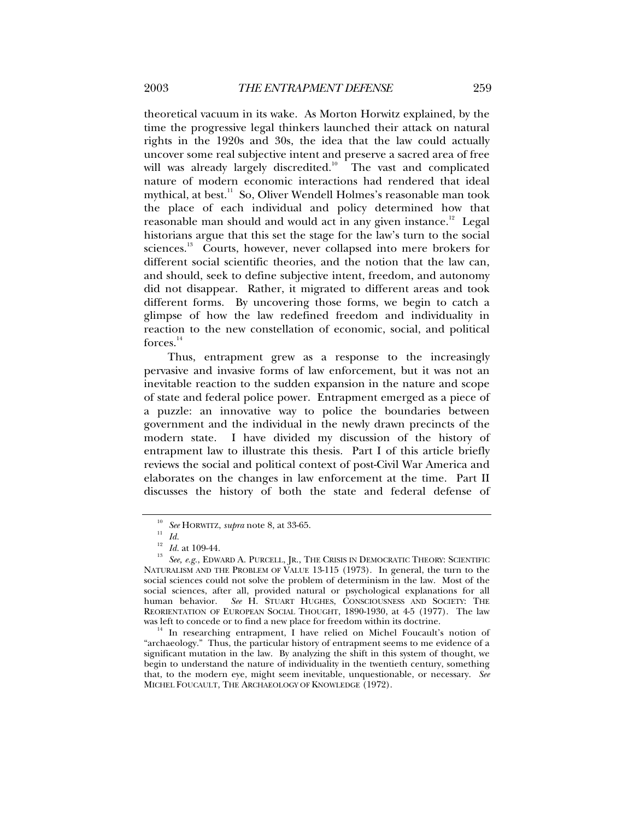theoretical vacuum in its wake. As Morton Horwitz explained, by the time the progressive legal thinkers launched their attack on natural rights in the 1920s and 30s, the idea that the law could actually uncover some real subjective intent and preserve a sacred area of free will was already largely discredited.<sup>10</sup> The vast and complicated nature of modern economic interactions had rendered that ideal mythical, at best.<sup>11</sup> So, Oliver Wendell Holmes's reasonable man took the place of each individual and policy determined how that reasonable man should and would act in any given instance.<sup>12</sup> Legal historians argue that this set the stage for the law's turn to the social sciences.<sup>13</sup> Courts, however, never collapsed into mere brokers for different social scientific theories, and the notion that the law can, and should, seek to define subjective intent, freedom, and autonomy did not disappear. Rather, it migrated to different areas and took different forms. By uncovering those forms, we begin to catch a glimpse of how the law redefined freedom and individuality in reaction to the new constellation of economic, social, and political  $forces.<sup>14</sup>$ 

Thus, entrapment grew as a response to the increasingly pervasive and invasive forms of law enforcement, but it was not an inevitable reaction to the sudden expansion in the nature and scope of state and federal police power. Entrapment emerged as a piece of a puzzle: an innovative way to police the boundaries between government and the individual in the newly drawn precincts of the modern state. I have divided my discussion of the history of entrapment law to illustrate this thesis. Part I of this article briefly reviews the social and political context of post-Civil War America and elaborates on the changes in law enforcement at the time. Part II discusses the history of both the state and federal defense of

<sup>10</sup> *See* HORWITZ, *supra* note 8, at 33-65. 11 *Id.*

<sup>&</sup>lt;sup>12</sup> Id. at 109-44.<br><sup>13</sup> See, e.g., Edward A. Purcell, Jr., The Crisis in Democratic Theory: Scientific NATURALISM AND THE PROBLEM OF VALUE 13-115 (1973). In general, the turn to the social sciences could not solve the problem of determinism in the law. Most of the social sciences, after all, provided natural or psychological explanations for all human behavior. *See* H. STUART HUGHES, CONSCIOUSNESS AND SOCIETY: THE REORIENTATION OF EUROPEAN SOCIAL THOUGHT, 1890-1930, at 4-5 (1977). The law

 $14$  In researching entrapment, I have relied on Michel Foucault's notion of "archaeology." Thus, the particular history of entrapment seems to me evidence of a significant mutation in the law. By analyzing the shift in this system of thought, we begin to understand the nature of individuality in the twentieth century, something that, to the modern eye, might seem inevitable, unquestionable, or necessary. *See* MICHEL FOUCAULT, THE ARCHAEOLOGY OF KNOWLEDGE (1972).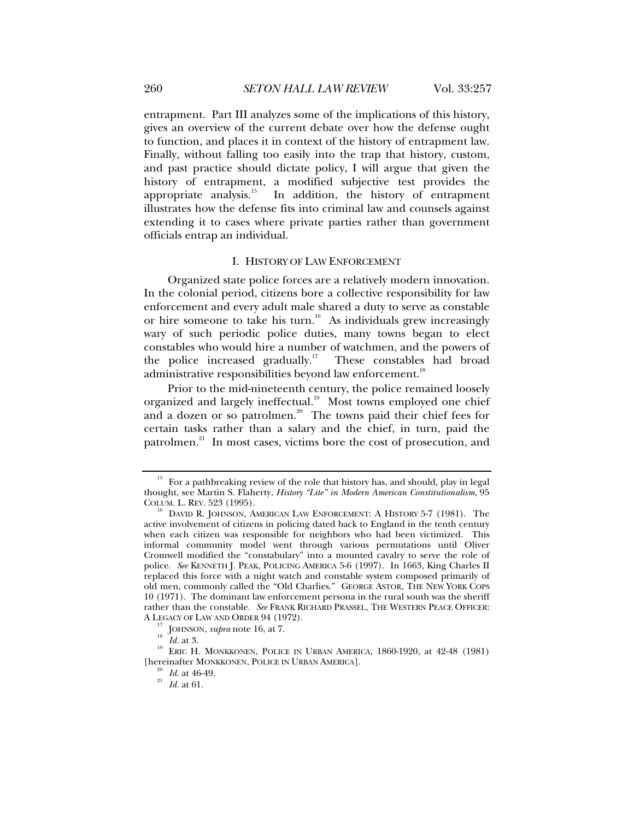entrapment. Part III analyzes some of the implications of this history, gives an overview of the current debate over how the defense ought to function, and places it in context of the history of entrapment law. Finally, without falling too easily into the trap that history, custom, and past practice should dictate policy, I will argue that given the history of entrapment, a modified subjective test provides the appropriate analysis.<sup>15</sup> In addition, the history of entrapment illustrates how the defense fits into criminal law and counsels against extending it to cases where private parties rather than government officials entrap an individual.

## I. HISTORY OF LAW ENFORCEMENT

Organized state police forces are a relatively modern innovation. In the colonial period, citizens bore a collective responsibility for law enforcement and every adult male shared a duty to serve as constable or hire someone to take his turn.<sup>16</sup> As individuals grew increasingly wary of such periodic police duties, many towns began to elect constables who would hire a number of watchmen, and the powers of the police increased gradually.<sup>17</sup> These constables had broad administrative responsibilities beyond law enforcement.<sup>18</sup>

Prior to the mid-nineteenth century, the police remained loosely organized and largely ineffectual.<sup>19</sup> Most towns employed one chief and a dozen or so patrolmen.<sup>20</sup> The towns paid their chief fees for certain tasks rather than a salary and the chief, in turn, paid the patrolmen.<sup>21</sup> In most cases, victims bore the cost of prosecution, and

<sup>&</sup>lt;sup>15</sup> For a pathbreaking review of the role that history has, and should, play in legal thought, see Martin S. Flaherty, *History "Lite" in Modern American Constitutionalism*, 95

 $^{16}$  David R. JOHNSON, AMERICAN LAW ENFORCEMENT: A HISTORY 5-7 (1981). The active involvement of citizens in policing dated back to England in the tenth century when each citizen was responsible for neighbors who had been victimized. This informal community model went through various permutations until Oliver Cromwell modified the "constabulary" into a mounted cavalry to serve the role of police. *See* KENNETH J. PEAK, POLICING AMERICA 5-6 (1997). In 1663, King Charles II replaced this force with a night watch and constable system composed primarily of old men, commonly called the "Old Charlies." GEORGE ASTOR, THE NEW YORK COPS 10 (1971). The dominant law enforcement persona in the rural south was the sheriff rather than the constable. *See* FRANK RICHARD PRASSEL, THE WESTERN PEACE OFFICER:

<sup>&</sup>lt;sup>17</sup> JOHNSON, *supra* note 16, at 7.<br><sup>18</sup> *Id.* at 3. **ERIC H. MONKKONEN, POLICE IN URBAN AMERICA, 1860-1920**, at 42-48 (1981) [hereinafter MONKKONEN, POLICE IN URBAN AMERICA]. 20 *Id.* at 46-49. 21 *Id.* at 61.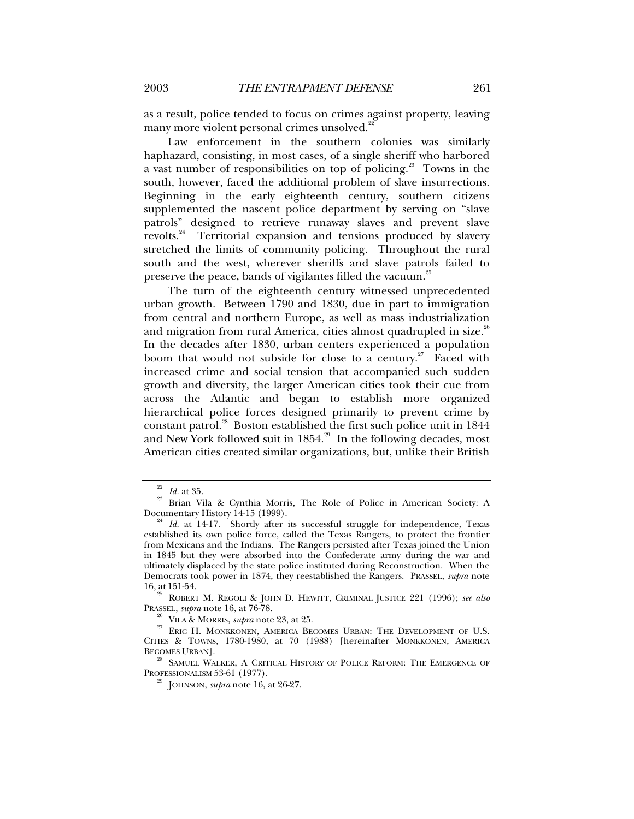as a result, police tended to focus on crimes against property, leaving many more violent personal crimes unsolved.<sup>22</sup>

Law enforcement in the southern colonies was similarly haphazard, consisting, in most cases, of a single sheriff who harbored a vast number of responsibilities on top of policing.<sup>23</sup> Towns in the south, however, faced the additional problem of slave insurrections. Beginning in the early eighteenth century, southern citizens supplemented the nascent police department by serving on "slave patrols" designed to retrieve runaway slaves and prevent slave revolts.<sup>24</sup> Territorial expansion and tensions produced by slavery stretched the limits of community policing. Throughout the rural south and the west, wherever sheriffs and slave patrols failed to preserve the peace, bands of vigilantes filled the vacuum.<sup>25</sup>

The turn of the eighteenth century witnessed unprecedented urban growth. Between 1790 and 1830, due in part to immigration from central and northern Europe, as well as mass industrialization and migration from rural America, cities almost quadrupled in size. $^{26}$ In the decades after 1830, urban centers experienced a population boom that would not subside for close to a century.<sup>27</sup> Faced with increased crime and social tension that accompanied such sudden growth and diversity, the larger American cities took their cue from across the Atlantic and began to establish more organized hierarchical police forces designed primarily to prevent crime by constant patrol.28 Boston established the first such police unit in 1844 and New York followed suit in  $1854$ <sup>29</sup> In the following decades, most American cities created similar organizations, but, unlike their British

BECOMES URBAN].<br><sup>28</sup> SAMUEL WALKER, A CRITICAL HISTORY OF POLICE REFORM: THE EMERGENCE OF PROFESSIONALISM 53-61 (1977).

<sup>&</sup>lt;sup>22</sup> *Id.* at 35. <br><sup>23</sup> Brian Vila & Cynthia Morris, The Role of Police in American Society: A Documentary History 14-15 (1999).

Id. at 14-17. Shortly after its successful struggle for independence, Texas established its own police force, called the Texas Rangers, to protect the frontier from Mexicans and the Indians. The Rangers persisted after Texas joined the Union in 1845 but they were absorbed into the Confederate army during the war and ultimately displaced by the state police instituted during Reconstruction. When the Democrats took power in 1874, they reestablished the Rangers. PRASSEL, *supra* note

<sup>&</sup>lt;sup>25</sup> ROBERT M. REGOLI & JOHN D. HEWITT, CRIMINAL JUSTICE 221 (1996); *see also* PRASSEL, *supra* note 16, at 76-78.

<sup>&</sup>lt;sup>26</sup> VILA & MORRIS, *supra* note 23, at 25. <sup>27</sup> ERIC H. MONKKONEN, AMERICA BECOMES URBAN: THE DEVELOPMENT OF U.S. CITIES & TOWNS, 1780-1980, at 70 (1988) [hereinafter MONKKONEN, AMERICA

<sup>&</sup>lt;sup>9</sup> JOHNSON, *supra* note 16, at 26-27.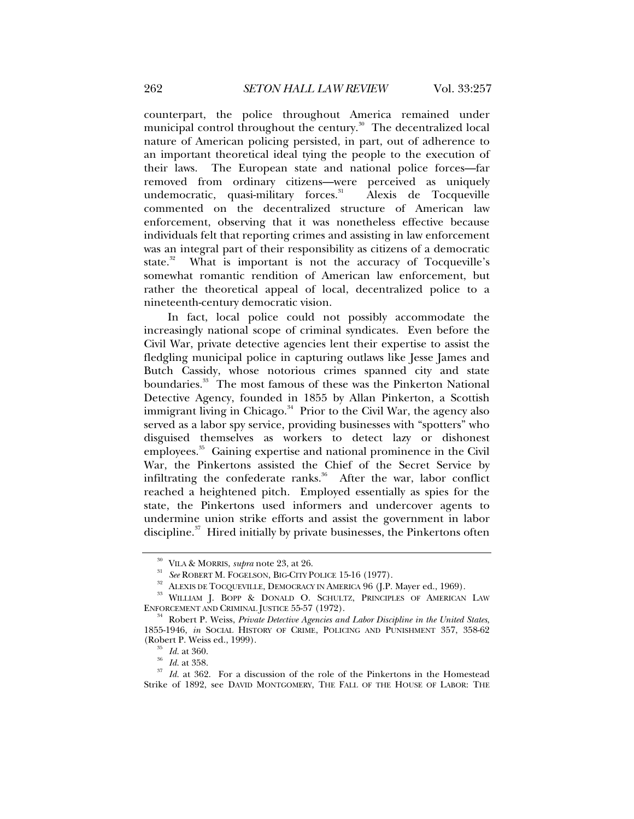counterpart, the police throughout America remained under municipal control throughout the century.<sup>30</sup> The decentralized local nature of American policing persisted, in part, out of adherence to an important theoretical ideal tying the people to the execution of their laws. The European state and national police forces—far removed from ordinary citizens—were perceived as uniquely undemocratic, quasi-military forces. $31$  Alexis de Tocqueville commented on the decentralized structure of American law enforcement, observing that it was nonetheless effective because individuals felt that reporting crimes and assisting in law enforcement was an integral part of their responsibility as citizens of a democratic state.<sup>32</sup> What is important is not the accuracy of Tocqueville's somewhat romantic rendition of American law enforcement, but rather the theoretical appeal of local, decentralized police to a nineteenth-century democratic vision.

In fact, local police could not possibly accommodate the increasingly national scope of criminal syndicates. Even before the Civil War, private detective agencies lent their expertise to assist the fledgling municipal police in capturing outlaws like Jesse James and Butch Cassidy, whose notorious crimes spanned city and state boundaries.<sup>33</sup> The most famous of these was the Pinkerton National Detective Agency, founded in 1855 by Allan Pinkerton, a Scottish immigrant living in Chicago. $34$  Prior to the Civil War, the agency also served as a labor spy service, providing businesses with "spotters" who disguised themselves as workers to detect lazy or dishonest employees.<sup>35</sup> Gaining expertise and national prominence in the Civil War, the Pinkertons assisted the Chief of the Secret Service by infiltrating the confederate ranks.<sup>36</sup> After the war, labor conflict reached a heightened pitch. Employed essentially as spies for the state, the Pinkertons used informers and undercover agents to undermine union strike efforts and assist the government in labor discipline. $37$  Hired initially by private businesses, the Pinkertons often

<sup>&</sup>lt;sup>30</sup> VILA & MORRIS, *supra* note 23, at 26.<br>
<sup>31</sup> See ROBERT M. FOGELSON, BIG-CITY POLICE 15-16 (1977).<br>
<sup>32</sup> ALEXIS DE TOCQUEVILLE, DEMOCRACY IN AMERICA 96 (J.P. Mayer ed., 1969).<br>
<sup>33</sup> WILLIAM J. BOPP & DONALD O. SCHULT

<sup>&</sup>lt;sup>34</sup> Robert P. Weiss, *Private Detective Agencies and Labor Discipline in the United States*, 1855-1946, *in* SOCIAL HISTORY OF CRIME, POLICING AND PUNISHMENT 357, 358-62 (Robert P. Weiss ed., 1999).

<sup>&</sup>lt;sup>35</sup> *Id.* at 360.<br><sup>36</sup> *Id.* at 358. <br><sup>37</sup> *Id.* at 362. For a discussion of the role of the Pinkertons in the Homestead Strike of 1892, see DAVID MONTGOMERY, THE FALL OF THE HOUSE OF LABOR: THE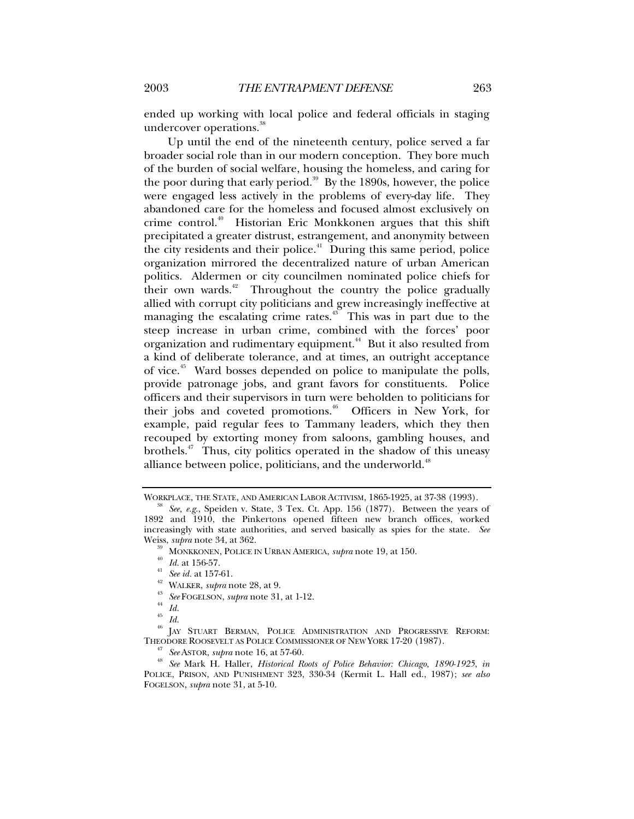ended up working with local police and federal officials in staging undercover operations.<sup>38</sup>

Up until the end of the nineteenth century, police served a far broader social role than in our modern conception. They bore much of the burden of social welfare, housing the homeless, and caring for the poor during that early period.<sup>39</sup> By the 1890s, however, the police were engaged less actively in the problems of every-day life. They abandoned care for the homeless and focused almost exclusively on crime control.40 Historian Eric Monkkonen argues that this shift precipitated a greater distrust, estrangement, and anonymity between the city residents and their police. $4$  During this same period, police organization mirrored the decentralized nature of urban American politics. Aldermen or city councilmen nominated police chiefs for their own wards.<sup>42</sup> Throughout the country the police gradually allied with corrupt city politicians and grew increasingly ineffective at managing the escalating crime rates.<sup>43</sup> This was in part due to the steep increase in urban crime, combined with the forces' poor organization and rudimentary equipment.<sup>44</sup> But it also resulted from a kind of deliberate tolerance, and at times, an outright acceptance of vice.45 Ward bosses depended on police to manipulate the polls, provide patronage jobs, and grant favors for constituents. Police officers and their supervisors in turn were beholden to politicians for their jobs and coveted promotions.<sup>46</sup> Officers in New York, for example, paid regular fees to Tammany leaders, which they then recouped by extorting money from saloons, gambling houses, and brothels. $47$  Thus, city politics operated in the shadow of this uneasy alliance between police, politicians, and the underworld.<sup>48</sup>

 $^{46}$  JAY STUART BERMAN, POLICE ADMINISTRATION AND PROGRESSIVE REFORM: THEODORE ROOSEVELT AS POLICE COMMISSIONER OF NEW YORK 17-20 (1987).

WORKPLACE, THE STATE, AND AMERICAN LABOR ACTIVISM, 1865-1925, at 37-38 (1993). 38 *See, e.g*., Speiden v. State, 3 Tex. Ct. App. 156 (1877). Between the years of 1892 and 1910, the Pinkertons opened fifteen new branch offices, worked increasingly with state authorities, and served basically as spies for the state. *See*

<sup>&</sup>lt;sup>39</sup> MONKKONEN, POLICE IN URBAN AMERICA, *supra* note 19, at 150.<br>
<sup>40</sup> Id. at 156-57.<br>
<sup>41</sup> *See id.* at 157-61.<br>
<sup>42</sup> WALKER, *supra* note 28, at 9.<br>
<sup>43</sup> *See* FOGELSON, *supra* note 31, at 1-12.<br>
<sup>44</sup> Id.

<sup>45</sup> *Id.*

THEODORE ROOSEVELT AS POLICE COMMISSIONER OF NEW YORK 17-20 (1987). 47 *See* ASTOR, *supra* note 16, at 57-60. 48 *See* Mark H. Haller, *Historical Roots of Police Behavior: Chicago, 1890-1925*, *in* POLICE, PRISON, AND PUNISHMENT 323, 330-34 (Kermit L. Hall ed., 1987); *see also* FOGELSON, *supra* note 31, at 5-10.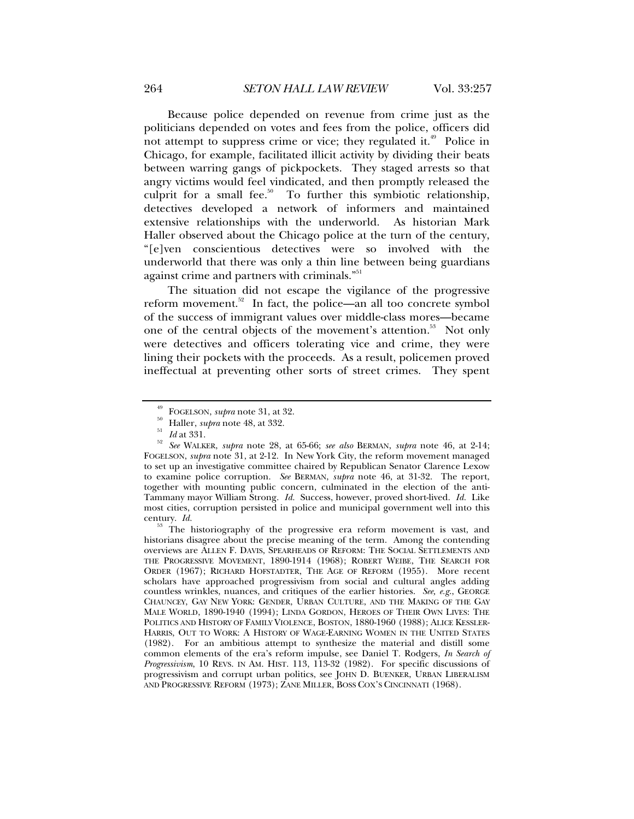Because police depended on revenue from crime just as the politicians depended on votes and fees from the police, officers did not attempt to suppress crime or vice; they regulated it.<sup>49</sup> Police in Chicago, for example, facilitated illicit activity by dividing their beats between warring gangs of pickpockets. They staged arrests so that angry victims would feel vindicated, and then promptly released the culprit for a small fee.<sup>50</sup> To further this symbiotic relationship, detectives developed a network of informers and maintained extensive relationships with the underworld. As historian Mark Haller observed about the Chicago police at the turn of the century, "[e]ven conscientious detectives were so involved with the underworld that there was only a thin line between being guardians against crime and partners with criminals."<sup>51</sup>

The situation did not escape the vigilance of the progressive reform movement.<sup>52</sup> In fact, the police—an all too concrete symbol of the success of immigrant values over middle-class mores—became one of the central objects of the movement's attention.<sup>53</sup> Not only were detectives and officers tolerating vice and crime, they were lining their pockets with the proceeds. As a result, policemen proved ineffectual at preventing other sorts of street crimes. They spent

<sup>53</sup> The historiography of the progressive era reform movement is vast, and historians disagree about the precise meaning of the term. Among the contending overviews are ALLEN F. DAVIS, SPEARHEADS OF REFORM: THE SOCIAL SETTLEMENTS AND THE PROGRESSIVE MOVEMENT, 1890-1914 (1968); ROBERT WEIBE, THE SEARCH FOR ORDER (1967); RICHARD HOFSTADTER, THE AGE OF REFORM (1955). More recent scholars have approached progressivism from social and cultural angles adding countless wrinkles, nuances, and critiques of the earlier histories. *See, e.g*., GEORGE CHAUNCEY, GAY NEW YORK: GENDER, URBAN CULTURE, AND THE MAKING OF THE GAY MALE WORLD, 1890-1940 (1994); LINDA GORDON, HEROES OF THEIR OWN LIVES: THE POLITICS AND HISTORY OF FAMILY VIOLENCE, BOSTON, 1880-1960 (1988); ALICE KESSLER-HARRIS, OUT TO WORK: A HISTORY OF WAGE-EARNING WOMEN IN THE UNITED STATES (1982). For an ambitious attempt to synthesize the material and distill some common elements of the era's reform impulse, see Daniel T. Rodgers, *In Search of Progressivism*, 10 REVS. IN AM. HIST. 113, 113-32 (1982). For specific discussions of progressivism and corrupt urban politics, see JOHN D. BUENKER, URBAN LIBERALISM AND PROGRESSIVE REFORM (1973); ZANE MILLER, BOSS COX'S CINCINNATI (1968).

<sup>49</sup> FOGELSON, *supra* note 31, at 32. 50 Haller, *supra* note 48, at 332. 51 *Id* at 331. 52 *See* WALKER, *supra* note 28, at 65-66; *see also* BERMAN, *supra* note 46, at 2-14; FOGELSON, *supra* note 31, at 2-12. In New York City, the reform movement managed to set up an investigative committee chaired by Republican Senator Clarence Lexow to examine police corruption. *See* BERMAN, *supra* note 46, at 31-32. The report, together with mounting public concern, culminated in the election of the anti-Tammany mayor William Strong. *Id.* Success, however, proved short-lived. *Id.* Like most cities, corruption persisted in police and municipal government well into this century. Id.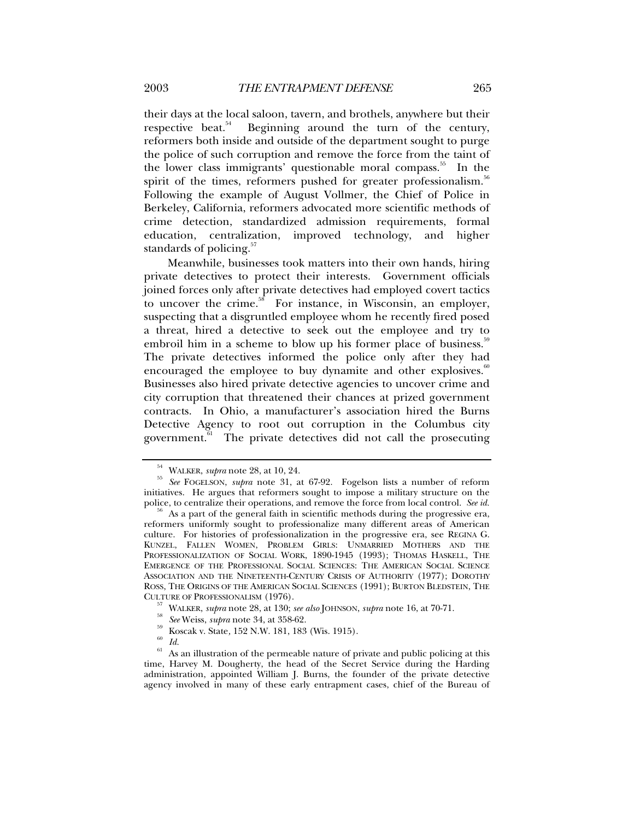their days at the local saloon, tavern, and brothels, anywhere but their respective beat.<sup>54</sup> Beginning around the turn of the century, reformers both inside and outside of the department sought to purge the police of such corruption and remove the force from the taint of the lower class immigrants' questionable moral compass.<sup>55</sup> In the spirit of the times, reformers pushed for greater professionalism.<sup>56</sup> Following the example of August Vollmer, the Chief of Police in Berkeley, California, reformers advocated more scientific methods of crime detection, standardized admission requirements, formal education, centralization, improved technology, and higher standards of policing. $57$ 

Meanwhile, businesses took matters into their own hands, hiring private detectives to protect their interests. Government officials joined forces only after private detectives had employed covert tactics to uncover the crime. $58$  For instance, in Wisconsin, an employer, suspecting that a disgruntled employee whom he recently fired posed a threat, hired a detective to seek out the employee and try to embroil him in a scheme to blow up his former place of business.<sup>59</sup> The private detectives informed the police only after they had encouraged the employee to buy dynamite and other explosives.<sup>60</sup> Businesses also hired private detective agencies to uncover crime and city corruption that threatened their chances at prized government contracts. In Ohio, a manufacturer's association hired the Burns Detective Agency to root out corruption in the Columbus city government.<sup>61</sup> The private detectives did not call the prosecuting

<sup>54</sup> WALKER, *supra* note 28, at 10, 24. 55 *See* FOGELSON, *supra* note 31, at 67-92. Fogelson lists a number of reform initiatives. He argues that reformers sought to impose a military structure on the police, to centralize their operations, and remove the force from local control. See id.

As a part of the general faith in scientific methods during the progressive era, reformers uniformly sought to professionalize many different areas of American culture. For histories of professionalization in the progressive era, see REGINA G. KUNZEL, FALLEN WOMEN, PROBLEM GIRLS: UNMARRIED MOTHERS AND THE PROFESSIONALIZATION OF SOCIAL WORK, 1890-1945 (1993); THOMAS HASKELL, THE EMERGENCE OF THE PROFESSIONAL SOCIAL SCIENCES: THE AMERICAN SOCIAL SCIENCE ASSOCIATION AND THE NINETEENTH-CENTURY CRISIS OF AUTHORITY (1977); DOROTHY ROSS, THE ORIGINS OF THE AMERICAN SOCIAL SCIENCES (1991); BURTON BLEDSTEIN, THE CULTURE OF PROFESSIONALISM (1976).

<sup>&</sup>lt;sup>57</sup> WALKER, *supra* note 28, at 130; *see also* JOHNSON, *supra* note 16, at 70-71.<br><sup>58</sup> *See* Weiss, *supra* note 34, at 358-62.<br><sup>59</sup> Koscak v. State, 152 N.W. 181, 183 (Wis. 1915).<br><sup>60</sup> *Id.* 

As an illustration of the permeable nature of private and public policing at this time, Harvey M. Dougherty, the head of the Secret Service during the Harding administration, appointed William J. Burns, the founder of the private detective agency involved in many of these early entrapment cases, chief of the Bureau of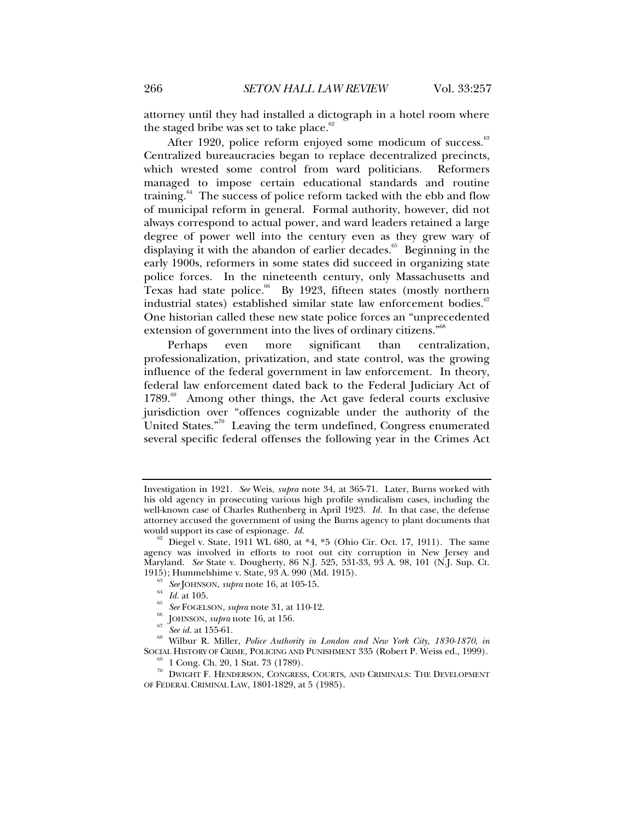attorney until they had installed a dictograph in a hotel room where the staged bribe was set to take place. $62$ 

After 1920, police reform enjoyed some modicum of success.<sup>63</sup> Centralized bureaucracies began to replace decentralized precincts, which wrested some control from ward politicians. Reformers managed to impose certain educational standards and routine training. $64$  The success of police reform tacked with the ebb and flow of municipal reform in general. Formal authority, however, did not always correspond to actual power, and ward leaders retained a large degree of power well into the century even as they grew wary of displaying it with the abandon of earlier decades.<sup>65</sup> Beginning in the early 1900s, reformers in some states did succeed in organizing state police forces. In the nineteenth century, only Massachusetts and Texas had state police.<sup>66</sup> By 1923, fifteen states (mostly northern industrial states) established similar state law enforcement bodies.<sup>67</sup> One historian called these new state police forces an "unprecedented extension of government into the lives of ordinary citizens."<sup>68</sup>

Perhaps even more significant than centralization, professionalization, privatization, and state control, was the growing influence of the federal government in law enforcement. In theory, federal law enforcement dated back to the Federal Judiciary Act of  $1789.^{69}$  Among other things, the Act gave federal courts exclusive jurisdiction over "offences cognizable under the authority of the United States."<sup>70</sup> Leaving the term undefined, Congress enumerated several specific federal offenses the following year in the Crimes Act

- 
- 

<sup>63</sup> *See* JOHNSON, *supra* note 16, at 105-15.<br><sup>64</sup> *Id.* at 105.<br><sup>65</sup> *See* FOGELSON, *supra* note 31, at 110-12.<br><sup>66</sup> JOHNSON, *supra* note 16, at 156.<br><sup>67</sup> *See id.* at 155-61.<br><sup>68</sup> Wilbur R. Miller, *Police Authority* SOCIAL HISTORY OF CRIME, POLICING AND PUNISHMENT 335 (Robert P. Weiss ed., 1999).<br><sup>69</sup> 1 Cong. Ch. 20, 1 Stat. 73 (1789).

Investigation in 1921. *See* Weis, *supra* note 34, at 365-71. Later, Burns worked with his old agency in prosecuting various high profile syndicalism cases, including the well-known case of Charles Ruthenberg in April 1923. *Id.* In that case, the defense attorney accused the government of using the Burns agency to plant documents that would support its case of espionage.  $Id$ .

Diegel v. State, 1911 WL 680, at \*4, \*5 (Ohio Cir. Oct. 17, 1911). The same agency was involved in efforts to root out city corruption in New Jersey and Maryland. *See* State v. Dougherty, 86 N.J. 525, 531-33, 93 A. 98, 101 (N.J. Sup. Ct.

 $^{70}$  DWIGHT F. HENDERSON, CONGRESS, COURTS, AND CRIMINALS: THE DEVELOPMENT OF FEDERAL CRIMINAL LAW, 1801-1829, at 5 (1985).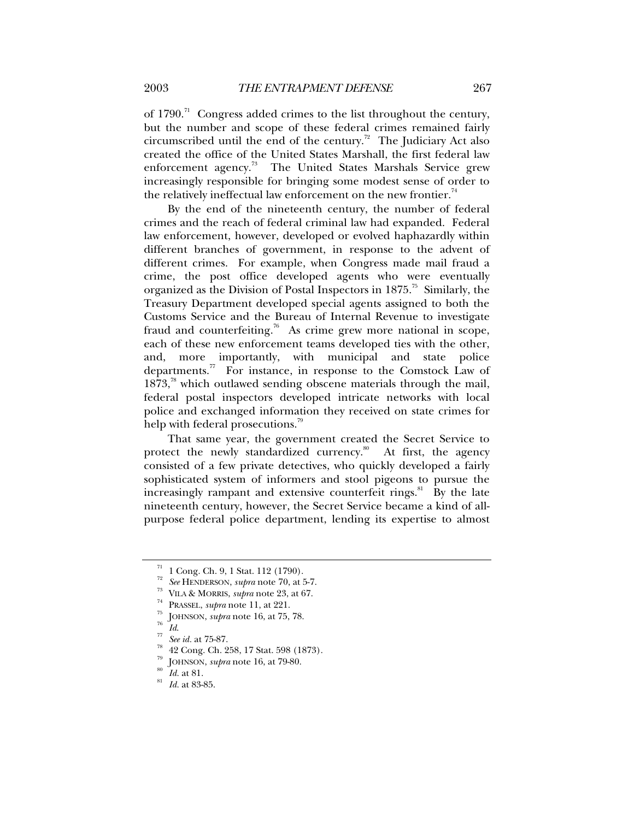of  $1790$ .<sup>71</sup> Congress added crimes to the list throughout the century, but the number and scope of these federal crimes remained fairly circumscribed until the end of the century.<sup>72</sup> The Judiciary Act also created the office of the United States Marshall, the first federal law enforcement agency.<sup>73</sup> The United States Marshals Service grew increasingly responsible for bringing some modest sense of order to the relatively ineffectual law enforcement on the new frontier.<sup>74</sup>

By the end of the nineteenth century, the number of federal crimes and the reach of federal criminal law had expanded. Federal law enforcement, however, developed or evolved haphazardly within different branches of government, in response to the advent of different crimes. For example, when Congress made mail fraud a crime, the post office developed agents who were eventually organized as the Division of Postal Inspectors in  $1875$ .<sup>75</sup> Similarly, the Treasury Department developed special agents assigned to both the Customs Service and the Bureau of Internal Revenue to investigate fraud and counterfeiting.<sup>76</sup> As crime grew more national in scope, each of these new enforcement teams developed ties with the other, and, more importantly, with municipal and state police departments. $\frac{7}{10}$  For instance, in response to the Comstock Law of  $1873<sup>78</sup>$  which outlawed sending obscene materials through the mail, federal postal inspectors developed intricate networks with local police and exchanged information they received on state crimes for help with federal prosecutions.<sup>79</sup>

That same year, the government created the Secret Service to protect the newly standardized currency.<sup>80</sup> At first, the agency consisted of a few private detectives, who quickly developed a fairly sophisticated system of informers and stool pigeons to pursue the increasingly rampant and extensive counterfeit rings.<sup>81</sup> By the late nineteenth century, however, the Secret Service became a kind of allpurpose federal police department, lending its expertise to almost

 $\frac{71}{72}$  1 Cong. Ch. 9, 1 Stat. 112 (1790).<br> $\frac{72}{72}$  See HENDERSON, *supra* note 70, at 5-7.

<sup>&</sup>lt;sup>73</sup> VILA & MORRIS, *supra* note 23, at 67.<br>
<sup>74</sup> PRASSEL, *supra* note 11, at 221.<br>
<sup>75</sup> JOHNSON, *supra* note 16, at 75, 78.<br>
<sup>76</sup> Id.<br>
<sup>77</sup> See id. at 75-87.<br>
<sup>78</sup> 42 Cong. Ch. 258, 17 Stat. 598 (1873).

<sup>79</sup> JOHNSON, *supra* note 16, at 79-80. 80 *Id.* at 81. 81 *Id.* at 83-85.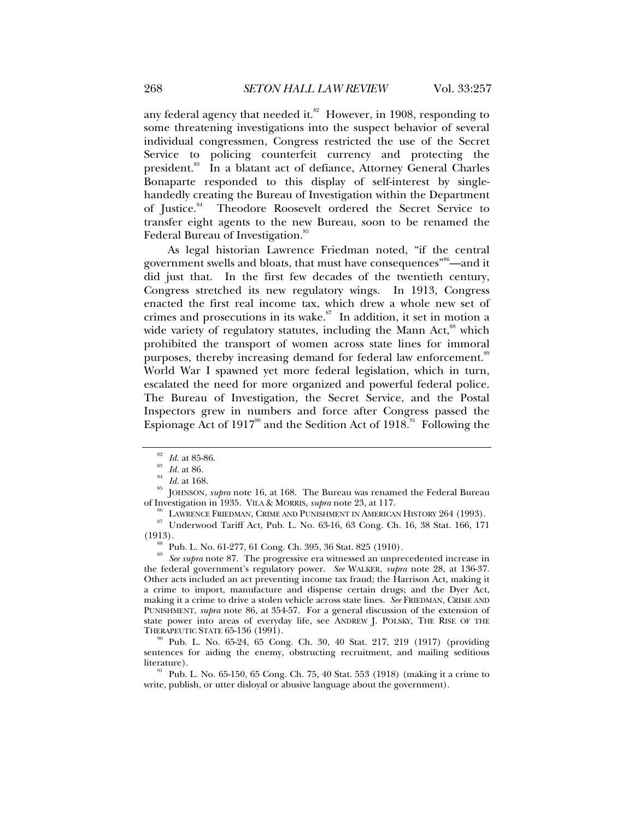any federal agency that needed it. $82$  However, in 1908, responding to some threatening investigations into the suspect behavior of several individual congressmen, Congress restricted the use of the Secret Service to policing counterfeit currency and protecting the president.<sup>83</sup> In a blatant act of defiance, Attorney General Charles Bonaparte responded to this display of self-interest by singlehandedly creating the Bureau of Investigation within the Department of Justice.<sup>84</sup> Theodore Roosevelt ordered the Secret Service to transfer eight agents to the new Bureau, soon to be renamed the Federal Bureau of Investigation.<sup>85</sup>

As legal historian Lawrence Friedman noted, "if the central government swells and bloats, that must have consequences<sup>"86</sup>—and it did just that. In the first few decades of the twentieth century, Congress stretched its new regulatory wings. In 1913, Congress enacted the first real income tax, which drew a whole new set of crimes and prosecutions in its wake. $s$ <sup>7</sup> In addition, it set in motion a wide variety of regulatory statutes, including the Mann Act, $^{88}$  which prohibited the transport of women across state lines for immoral purposes, thereby increasing demand for federal law enforcement.<sup>89</sup> World War I spawned yet more federal legislation, which in turn, escalated the need for more organized and powerful federal police. The Bureau of Investigation, the Secret Service, and the Postal Inspectors grew in numbers and force after Congress passed the Espionage Act of  $1917^{\circ\circ}$  and the Sedition Act of  $1918.^{\circ\circ}$  Following the

<sup>82</sup> *Id.* at 85-86.<br><sup>83</sup> *Id.* at 168.<br><sup>84</sup> *Id.* at 168.<br><sup>85</sup> JOHNSON, *supra* note 16, at 168. The Bureau was renamed the Federal Bureau<br>of Investigation in 1935. VILA & MORRIS, *supra* note 23, at 117.

<sup>86</sup> LAWRENCE FRIEDMAN, CRIME AND PUNISHMENT IN AMERICAN HISTORY 264 (1993).<br><sup>87</sup> Underwood Tariff Act, Pub. L. No. 63-16, 63 Cong. Ch. 16, 38 Stat. 166, 171

(1913).<br><sup>88</sup> Pub. L. No. 61-277, 61 Cong. Ch. 395, 36 Stat. 825 (1910).<br><sup>89</sup> *See supra* note 87. The progressive era witnessed an unprecedented increase in the federal government's regulatory power. *See* WALKER, *supra* note 28, at 136-37. Other acts included an act preventing income tax fraud; the Harrison Act, making it a crime to import, manufacture and dispense certain drugs; and the Dyer Act, making it a crime to drive a stolen vehicle across state lines. *See* FRIEDMAN, CRIME AND PUNISHMENT, *supra* note 86, at 354-57. For a general discussion of the extension of state power into areas of everyday life, see ANDREW J. POLSKY, THE RISE OF THE THERAPEUTIC STATE 65-136 (1991).

Pub. L. No. 65-24, 65 Cong. Ch. 30, 40 Stat. 217, 219 (1917) (providing sentences for aiding the enemy, obstructing recruitment, and mailing seditious literature).<br><sup>91</sup> Pub. L. No. 65-150, 65 Cong. Ch. 75, 40 Stat. 553 (1918) (making it a crime to

write, publish, or utter disloyal or abusive language about the government).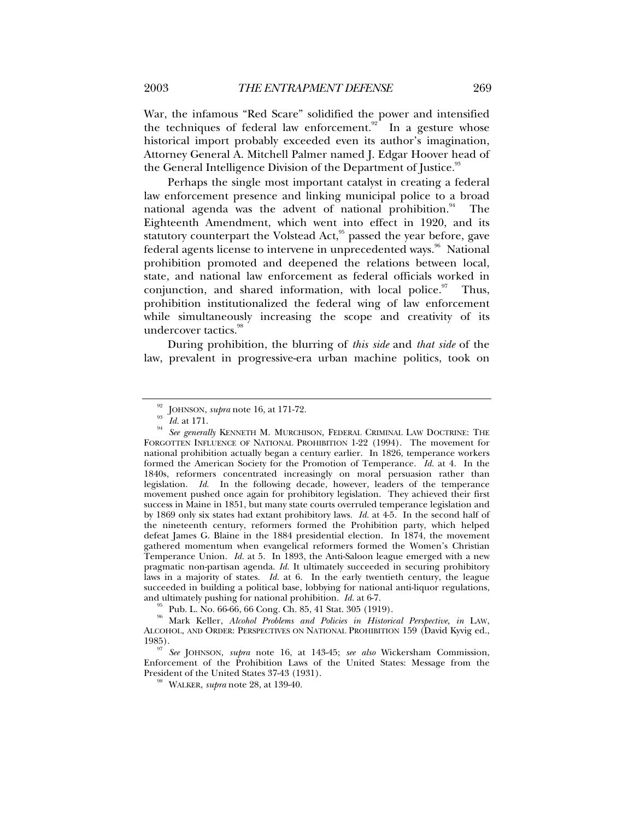War, the infamous "Red Scare" solidified the power and intensified the techniques of federal law enforcement.<sup>92</sup> In a gesture whose historical import probably exceeded even its author's imagination, Attorney General A. Mitchell Palmer named J. Edgar Hoover head of the General Intelligence Division of the Department of Justice.<sup>93</sup>

Perhaps the single most important catalyst in creating a federal law enforcement presence and linking municipal police to a broad national agenda was the advent of national prohibition. $94$  The Eighteenth Amendment, which went into effect in 1920, and its statutory counterpart the Volstead Act, $\frac{95}{9}$  passed the year before, gave federal agents license to intervene in unprecedented ways.<sup>96</sup> National prohibition promoted and deepened the relations between local, state, and national law enforcement as federal officials worked in conjunction, and shared information, with local police. $97$  Thus, prohibition institutionalized the federal wing of law enforcement while simultaneously increasing the scope and creativity of its undercover tactics.<sup>98</sup>

During prohibition, the blurring of *this side* and *that side* of the law, prevalent in progressive-era urban machine politics, took on

Pub. L. No. 66-66, 66 Cong. Ch. 85, 41 Stat. 305 (1919).

96 Mark Keller, *Alcohol Problems and Policies in Historical Perspective*, *in* LAW, ALCOHOL, AND ORDER: PERSPECTIVES ON NATIONAL PROHIBITION 159 (David Kyvig ed., 1985). 97 *See* JOHNSON, *supra* note 16, at 143-45; *see also* Wickersham Commission,

Enforcement of the Prohibition Laws of the United States: Message from the President of the United States 37-43 (1931). 98 WALKER, *supra* note 28, at 139-40.

<sup>&</sup>lt;sup>92</sup> JOHNSON, *supra* note 16, at 171-72.<br><sup>93</sup> Id. at 171.<br><sup>94</sup> See generally KENNETH M. MURCHISON, FEDERAL CRIMINAL LAW DOCTRINE: THE FORGOTTEN INFLUENCE OF NATIONAL PROHIBITION 1-22 (1994). The movement for national prohibition actually began a century earlier. In 1826, temperance workers formed the American Society for the Promotion of Temperance. *Id.* at 4. In the 1840s, reformers concentrated increasingly on moral persuasion rather than legislation. *Id.* In the following decade, however, leaders of the temperance movement pushed once again for prohibitory legislation. They achieved their first success in Maine in 1851, but many state courts overruled temperance legislation and by 1869 only six states had extant prohibitory laws. *Id.* at 4-5. In the second half of the nineteenth century, reformers formed the Prohibition party, which helped defeat James G. Blaine in the 1884 presidential election. In 1874, the movement gathered momentum when evangelical reformers formed the Women's Christian Temperance Union. *Id.* at 5. In 1893, the Anti-Saloon league emerged with a new pragmatic non-partisan agenda. *Id.* It ultimately succeeded in securing prohibitory laws in a majority of states. *Id.* at 6. In the early twentieth century, the league succeeded in building a political base, lobbying for national anti-liquor regulations, and ultimately pushing for national prohibition.  $Id$  at 6-7.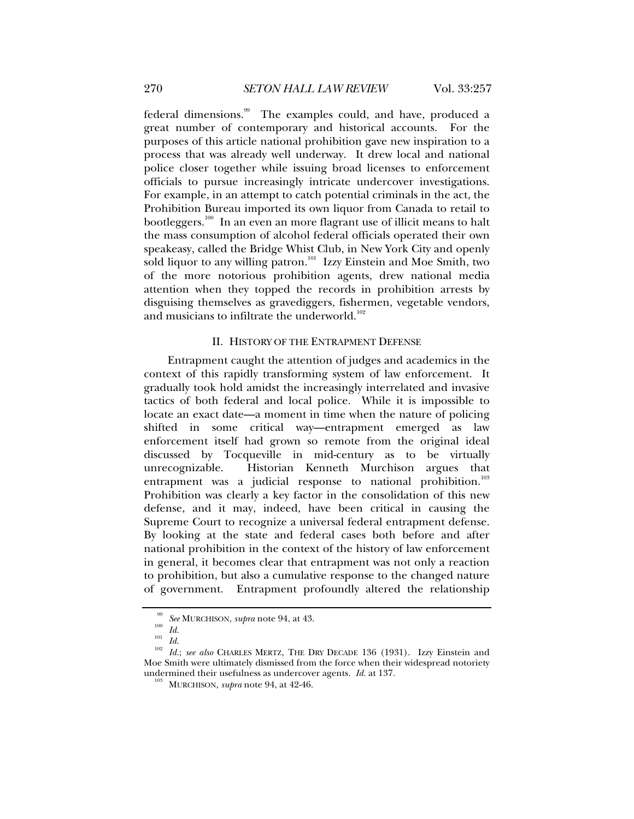federal dimensions.<sup>99</sup> The examples could, and have, produced a great number of contemporary and historical accounts. For the purposes of this article national prohibition gave new inspiration to a process that was already well underway. It drew local and national police closer together while issuing broad licenses to enforcement officials to pursue increasingly intricate undercover investigations. For example, in an attempt to catch potential criminals in the act, the Prohibition Bureau imported its own liquor from Canada to retail to bootleggers.<sup>100</sup> In an even an more flagrant use of illicit means to halt the mass consumption of alcohol federal officials operated their own speakeasy, called the Bridge Whist Club, in New York City and openly sold liquor to any willing patron.<sup>101</sup> Izzy Einstein and Moe Smith, two of the more notorious prohibition agents, drew national media attention when they topped the records in prohibition arrests by disguising themselves as gravediggers, fishermen, vegetable vendors, and musicians to infiltrate the underworld.<sup>102</sup>

## II. HISTORY OF THE ENTRAPMENT DEFENSE

Entrapment caught the attention of judges and academics in the context of this rapidly transforming system of law enforcement. It gradually took hold amidst the increasingly interrelated and invasive tactics of both federal and local police. While it is impossible to locate an exact date—a moment in time when the nature of policing shifted in some critical way—entrapment emerged as law enforcement itself had grown so remote from the original ideal discussed by Tocqueville in mid-century as to be virtually unrecognizable. Historian Kenneth Murchison argues that entrapment was a judicial response to national prohibition.<sup>103</sup> Prohibition was clearly a key factor in the consolidation of this new defense, and it may, indeed, have been critical in causing the Supreme Court to recognize a universal federal entrapment defense. By looking at the state and federal cases both before and after national prohibition in the context of the history of law enforcement in general, it becomes clear that entrapment was not only a reaction to prohibition, but also a cumulative response to the changed nature of government. Entrapment profoundly altered the relationship

<sup>&</sup>lt;sup>99</sup> See MURCHISON, *supra* note 94, at 43.<br><sup>100</sup> *Id. Id. Id. in*. *isee also* CHARLES MERTZ, THE DRY DECADE 136 (1931). Izzy Einstein and Moe Smith were ultimately dismissed from the force when their widespread notoriety undermined their usefulness as undercover agents. *Id.* at 137. 103 MURCHISON, *supra* note 94, at 42-46.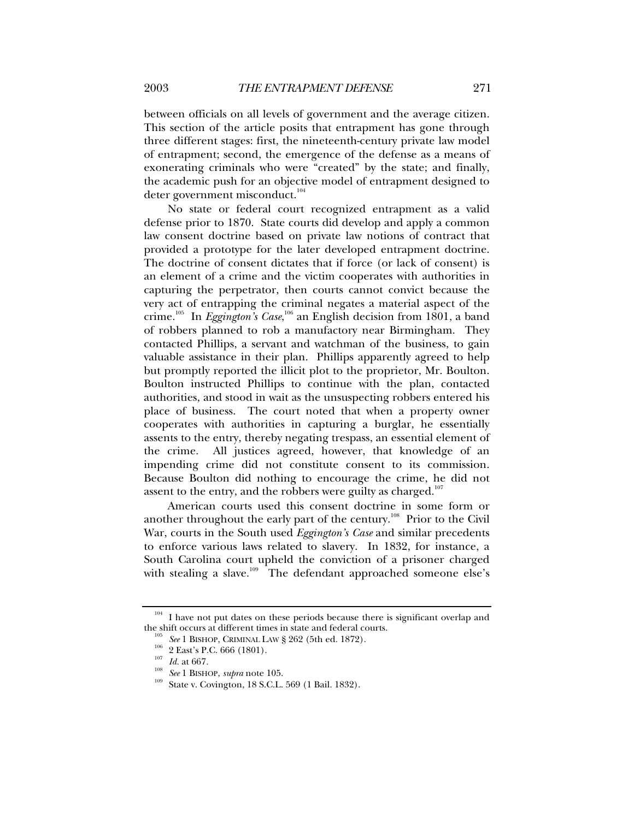between officials on all levels of government and the average citizen. This section of the article posits that entrapment has gone through three different stages: first, the nineteenth-century private law model of entrapment; second, the emergence of the defense as a means of exonerating criminals who were "created" by the state; and finally, the academic push for an objective model of entrapment designed to deter government misconduct.<sup>104</sup>

No state or federal court recognized entrapment as a valid defense prior to 1870. State courts did develop and apply a common law consent doctrine based on private law notions of contract that provided a prototype for the later developed entrapment doctrine. The doctrine of consent dictates that if force (or lack of consent) is an element of a crime and the victim cooperates with authorities in capturing the perpetrator, then courts cannot convict because the very act of entrapping the criminal negates a material aspect of the crime.<sup>105</sup> In *Eggington's Case*,<sup>106</sup> an English decision from 1801, a band of robbers planned to rob a manufactory near Birmingham. They contacted Phillips, a servant and watchman of the business, to gain valuable assistance in their plan. Phillips apparently agreed to help but promptly reported the illicit plot to the proprietor, Mr. Boulton. Boulton instructed Phillips to continue with the plan, contacted authorities, and stood in wait as the unsuspecting robbers entered his place of business. The court noted that when a property owner cooperates with authorities in capturing a burglar, he essentially assents to the entry, thereby negating trespass, an essential element of the crime. All justices agreed, however, that knowledge of an impending crime did not constitute consent to its commission. Because Boulton did nothing to encourage the crime, he did not assent to the entry, and the robbers were guilty as charged.<sup>107</sup>

American courts used this consent doctrine in some form or another throughout the early part of the century.<sup>108</sup> Prior to the Civil War, courts in the South used *Eggington's Case* and similar precedents to enforce various laws related to slavery. In 1832, for instance, a South Carolina court upheld the conviction of a prisoner charged with stealing a slave.<sup>109</sup> The defendant approached someone else's

 $104$  I have not put dates on these periods because there is significant overlap and the shift occurs at different times in state and federal courts.

<sup>&</sup>lt;sup>105</sup> See 1 BISHOP, CRIMINAL LAW § 262 (5th ed. 1872).<br><sup>106</sup> 2 East's P.C. 666 (1801).<br><sup>107</sup> *Id.* at 667.<br><sup>108</sup> See 1 BISHOP, *supra* note 105.<br><sup>109</sup> State v. Covington, 18 S.C.L. 569 (1 Bail. 1832).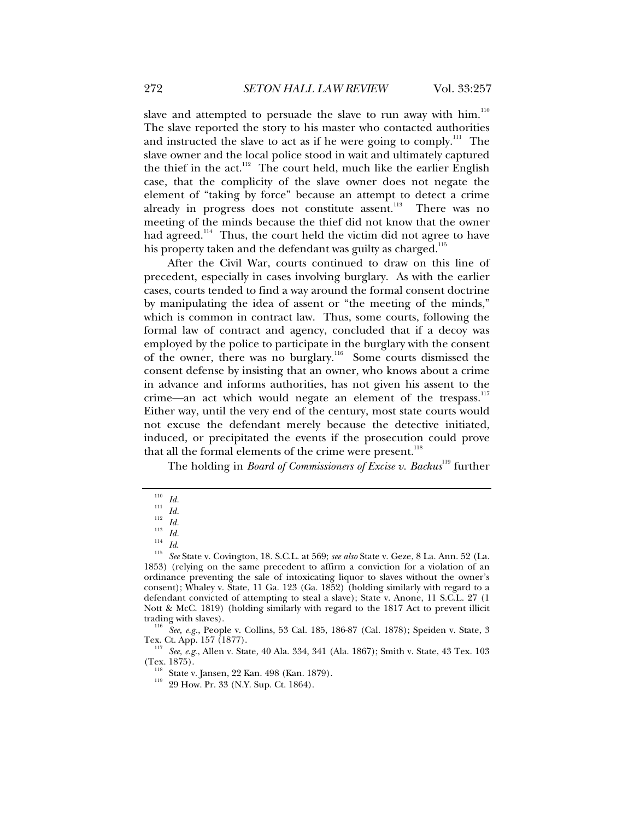slave and attempted to persuade the slave to run away with him. $110$ The slave reported the story to his master who contacted authorities and instructed the slave to act as if he were going to comply.<sup>111</sup> The slave owner and the local police stood in wait and ultimately captured the thief in the act.<sup>112</sup> The court held, much like the earlier English case, that the complicity of the slave owner does not negate the element of "taking by force" because an attempt to detect a crime already in progress does not constitute assent.<sup>113</sup> There was no meeting of the minds because the thief did not know that the owner had agreed.<sup>114</sup> Thus, the court held the victim did not agree to have his property taken and the defendant was guilty as charged.<sup>115</sup>

After the Civil War, courts continued to draw on this line of precedent, especially in cases involving burglary. As with the earlier cases, courts tended to find a way around the formal consent doctrine by manipulating the idea of assent or "the meeting of the minds," which is common in contract law. Thus, some courts, following the formal law of contract and agency, concluded that if a decoy was employed by the police to participate in the burglary with the consent of the owner, there was no burglary.116 Some courts dismissed the consent defense by insisting that an owner, who knows about a crime in advance and informs authorities, has not given his assent to the crime—an act which would negate an element of the trespass.<sup>117</sup> Either way, until the very end of the century, most state courts would not excuse the defendant merely because the detective initiated, induced, or precipitated the events if the prosecution could prove that all the formal elements of the crime were present.<sup>118</sup>

The holding in *Board of Commissioners of Excise v. Backus*<sup>119</sup> further

<sup>117</sup> See, e.g., Allen v. State, 40 Ala. 334, 341 (Ala. 1867); Smith v. State, 43 Tex. 103 (Tex. 1875).

<sup>110</sup> *Id.*<br>
<sup>111</sup> *Id.*<br>
<sup>113</sup> *Id.*<br>
<sup>114</sup> *Id.*<br>
<sup>115</sup> *See* State v. Covington, 18. S.C.L. at 569; *see also* State v. Geze, 8 La. Ann. 52 (La. 1853) (relying on the same precedent to affirm a conviction for a violation of an ordinance preventing the sale of intoxicating liquor to slaves without the owner's consent); Whaley v. State, 11 Ga. 123 (Ga. 1852) (holding similarly with regard to a defendant convicted of attempting to steal a slave); State v. Anone, 11 S.C.L. 27 (1 Nott & McC. 1819) (holding similarly with regard to the 1817 Act to prevent illicit

<sup>&</sup>lt;sup>116</sup> See, e.g., People v. Collins, 53 Cal. 185, 186-87 (Cal. 1878); Speiden v. State, 3 Tex. Ct. App. 157 (1877).

<sup>&</sup>lt;sup>118</sup> State v. Jansen, 22 Kan. 498 (Kan. 1879). <sup>119</sup> 29 How. Pr. 33 (N.Y. Sup. Ct. 1864).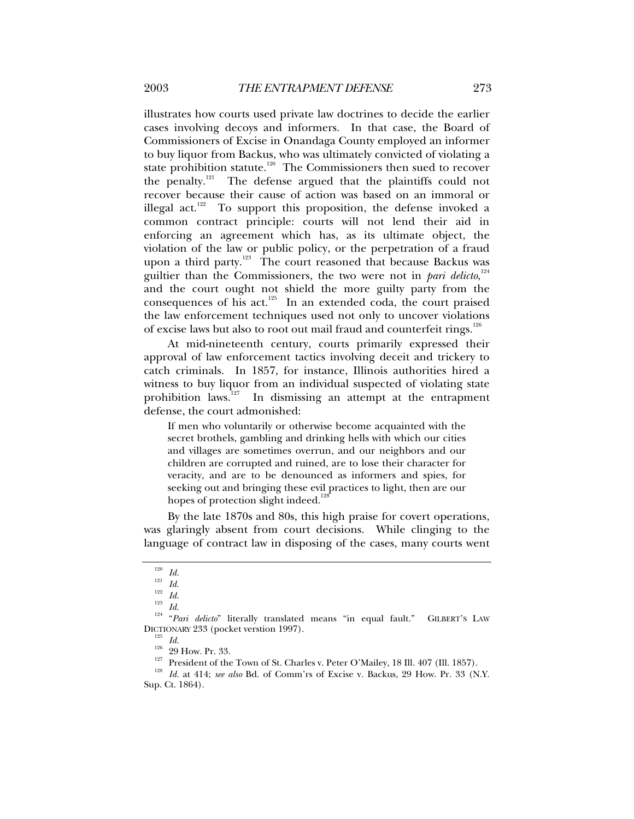illustrates how courts used private law doctrines to decide the earlier cases involving decoys and informers. In that case, the Board of Commissioners of Excise in Onandaga County employed an informer to buy liquor from Backus, who was ultimately convicted of violating a state prohibition statute.<sup>120</sup> The Commissioners then sued to recover the penalty.<sup>121</sup> The defense argued that the plaintiffs could not recover because their cause of action was based on an immoral or illegal act.<sup>122</sup> To support this proposition, the defense invoked a common contract principle: courts will not lend their aid in enforcing an agreement which has, as its ultimate object, the violation of the law or public policy, or the perpetration of a fraud upon a third party.<sup>123</sup> The court reasoned that because Backus was guiltier than the Commissioners, the two were not in *pari delicto*,<sup>124</sup> and the court ought not shield the more guilty party from the consequences of his act. $125$  In an extended coda, the court praised the law enforcement techniques used not only to uncover violations of excise laws but also to root out mail fraud and counterfeit rings.<sup>126</sup>

At mid-nineteenth century, courts primarily expressed their approval of law enforcement tactics involving deceit and trickery to catch criminals. In 1857, for instance, Illinois authorities hired a witness to buy liquor from an individual suspected of violating state prohibition laws.<sup>127</sup> In dismissing an attempt at the entrapment defense, the court admonished:

If men who voluntarily or otherwise become acquainted with the secret brothels, gambling and drinking hells with which our cities and villages are sometimes overrun, and our neighbors and our children are corrupted and ruined, are to lose their character for veracity, and are to be denounced as informers and spies, for seeking out and bringing these evil practices to light, then are our hopes of protection slight indeed.<sup>128</sup>

By the late 1870s and 80s, this high praise for covert operations, was glaringly absent from court decisions. While clinging to the language of contract law in disposing of the cases, many courts went

<sup>120</sup> *Id.* <sup>121</sup> *Id.* <sup>122</sup> *Id.* <sup>123</sup> *Id.* 124 "*Pari delicto*" literally translated means "in equal fault." GILBERT'S LAW DICTIONARY 233 (pocket verstion 1997).<br>
<sup>125</sup> *Id.*<br>
<sup>229</sup> How. Pr. 33.<br>
<sup>127</sup> President of the Town of St. Charles v. Peter O'Mailey, 18 Ill. 407 (Ill. 1857).<br>
<sup>128</sup> *Id.* at 414; *see also* Bd. of Comm'rs of Excise v. B

Sup. Ct. 1864).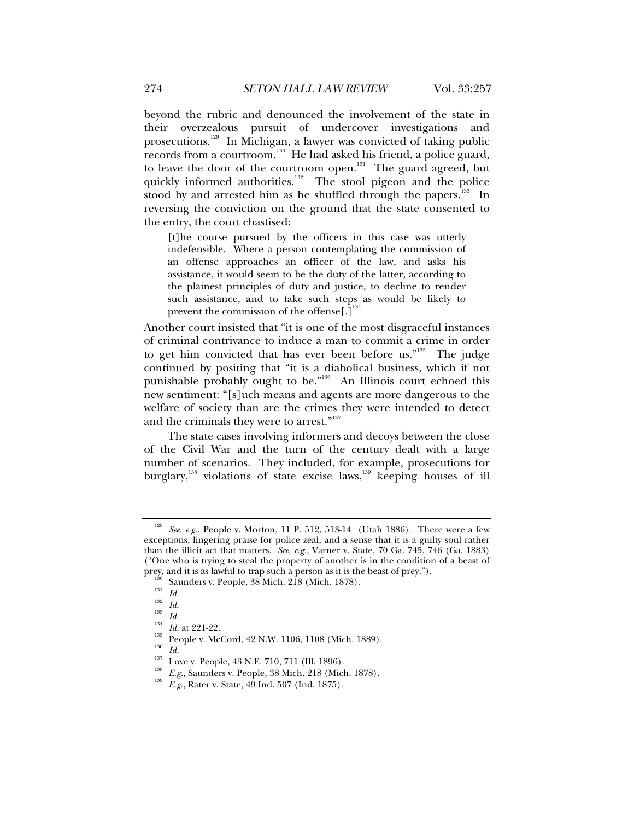beyond the rubric and denounced the involvement of the state in their overzealous pursuit of undercover investigations and prosecutions.<sup>129</sup> In Michigan, a lawyer was convicted of taking public records from a courtroom.130 He had asked his friend, a police guard, to leave the door of the courtroom open.<sup>131</sup> The guard agreed, but quickly informed authorities. $132$  The stool pigeon and the police stood by and arrested him as he shuffled through the papers. $133$  In reversing the conviction on the ground that the state consented to the entry, the court chastised:

[t]he course pursued by the officers in this case was utterly indefensible. Where a person contemplating the commission of an offense approaches an officer of the law, and asks his assistance, it would seem to be the duty of the latter, according to the plainest principles of duty and justice, to decline to render such assistance, and to take such steps as would be likely to prevent the commission of the offense $[.]$ <sup>1</sup>

Another court insisted that "it is one of the most disgraceful instances of criminal contrivance to induce a man to commit a crime in order to get him convicted that has ever been before us."<sup>135</sup> The judge continued by positing that "it is a diabolical business, which if not punishable probably ought to be."136 An Illinois court echoed this new sentiment: "[s]uch means and agents are more dangerous to the welfare of society than are the crimes they were intended to detect and the criminals they were to arrest."<sup>137</sup>

The state cases involving informers and decoys between the close of the Civil War and the turn of the century dealt with a large number of scenarios. They included, for example, prosecutions for burglary,<sup>138</sup> violations of state excise laws,<sup>139</sup> keeping houses of ill

See, e.g., People v. Morton, 11 P. 512, 513-14 (Utah 1886). There were a few exceptions, lingering praise for police zeal, and a sense that it is a guilty soul rather than the illicit act that matters. *See, e.g.*, Varner v. State, 70 Ga. 745, 746 (Ga. 1883) ("One who is trying to steal the property of another is in the condition of a beast of prey, and it is as lawful to trap such a person as it is the beast of prey.").

<sup>&</sup>lt;sup>130</sup> Saunders v. People, 38 Mich. 218 (Mich. 1878).<br>
<sup>131</sup> *Id.*<br>
<sup>132</sup> *Id.*<br>
<sup>133</sup> *Id.*<br>
<sup>134</sup> *Id.*<br>
<sup>134</sup> *Id.*<br>
<sup>134</sup> *Id.*<br>
<sup>134</sup> *Id.*<br>
<sup>135</sup> *Ig.*<br>
People v. McCord, 42 N.W. 1106, 1108 (Mich. 1889).<br>
<sup>135</sup> *Id.*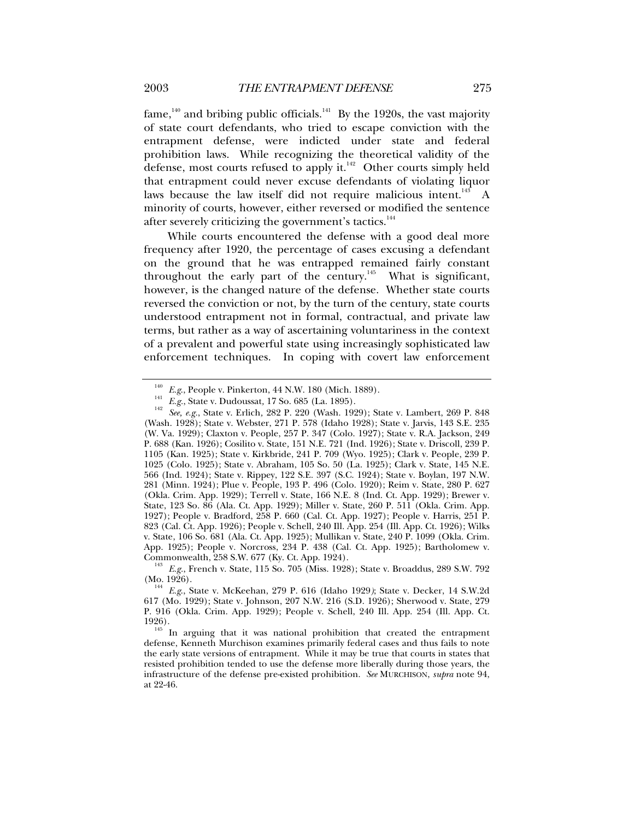$fame$ ,<sup>140</sup> and bribing public officials.<sup>141</sup> By the 1920s, the vast majority of state court defendants, who tried to escape conviction with the entrapment defense, were indicted under state and federal prohibition laws. While recognizing the theoretical validity of the defense, most courts refused to apply it. $142$  Other courts simply held that entrapment could never excuse defendants of violating liquor laws because the law itself did not require malicious intent.<sup>143</sup> A minority of courts, however, either reversed or modified the sentence after severely criticizing the government's tactics.<sup>144</sup>

While courts encountered the defense with a good deal more frequency after 1920, the percentage of cases excusing a defendant on the ground that he was entrapped remained fairly constant throughout the early part of the century.<sup>145</sup> What is significant, however, is the changed nature of the defense. Whether state courts reversed the conviction or not, by the turn of the century, state courts understood entrapment not in formal, contractual, and private law terms, but rather as a way of ascertaining voluntariness in the context of a prevalent and powerful state using increasingly sophisticated law enforcement techniques. In coping with covert law enforcement

<sup>&</sup>lt;sup>140</sup> *E.g.*, People v. Pinkerton, 44 N.W. 180 (Mich. 1889).<br>
<sup>141</sup> *E.g.*, State v. Dudoussat, 17 So. 685 (La. 1895).<br> *see, e.g.*, State v. Erlich, 282 P. 220 (Wash. 1929); State v. Lambert, 269 P. 848 (Wash. 1928); State v. Webster, 271 P. 578 (Idaho 1928); State v. Jarvis, 143 S.E. 235 (W. Va. 1929); Claxton v. People, 257 P. 347 (Colo. 1927); State v. R.A. Jackson, 249 P. 688 (Kan. 1926); Cosilito v. State*,* 151 N.E. 721 (Ind. 1926); State v. Driscoll, 239 P. 1105 (Kan. 1925); State v. Kirkbride, 241 P. 709 (Wyo. 1925); Clark v. People, 239 P. 1025 (Colo. 1925); State v. Abraham, 105 So. 50 (La. 1925); Clark v. State, 145 N.E. 566 (Ind. 1924); State v. Rippey, 122 S.E. 397 (S.C. 1924); State v. Boylan, 197 N.W. 281 (Minn. 1924); Plue v. People, 193 P. 496 (Colo. 1920); Reim v. State, 280 P. 627 (Okla. Crim. App. 1929); Terrell v. State, 166 N.E. 8 (Ind. Ct. App. 1929); Brewer v. State, 123 So. 86 (Ala. Ct. App. 1929); Miller v. State, 260 P. 511 (Okla. Crim. App. 1927); People v. Bradford, 258 P. 660 (Cal. Ct. App. 1927); People v. Harris, 251 P. 823 (Cal. Ct. App. 1926); People v. Schell, 240 Ill. App. 254 (Ill. App. Ct. 1926); Wilks v. State, 106 So. 681 (Ala. Ct. App. 1925); Mullikan v. State, 240 P. 1099 (Okla. Crim. App. 1925); People v*.* Norcross, 234 P. 438 (Cal. Ct. App. 1925); Bartholomew v.

<sup>&</sup>lt;sup>143</sup> E.g., French v. State, 115 So. 705 (Miss. 1928); State v. Broaddus, 289 S.W. 792 (Mo. 1926).

<sup>&</sup>lt;sup>144</sup> E.g., State v. McKeehan, 279 P. 616 (Idaho 1929); State v. Decker, 14 S.W.2d 617 (Mo. 1929); State v*.* Johnson, 207 N.W. 216 (S.D. 1926); Sherwood v. State, 279 P. 916 (Okla. Crim. App. 1929); People v. Schell, 240 Ill. App. 254 (Ill. App. Ct. 1926).<br><sup>145</sup> In arguing that it was national prohibition that created the entrapment

defense, Kenneth Murchison examines primarily federal cases and thus fails to note the early state versions of entrapment. While it may be true that courts in states that resisted prohibition tended to use the defense more liberally during those years, the infrastructure of the defense pre-existed prohibition. *See* MURCHISON, *supra* note 94, at 22-46.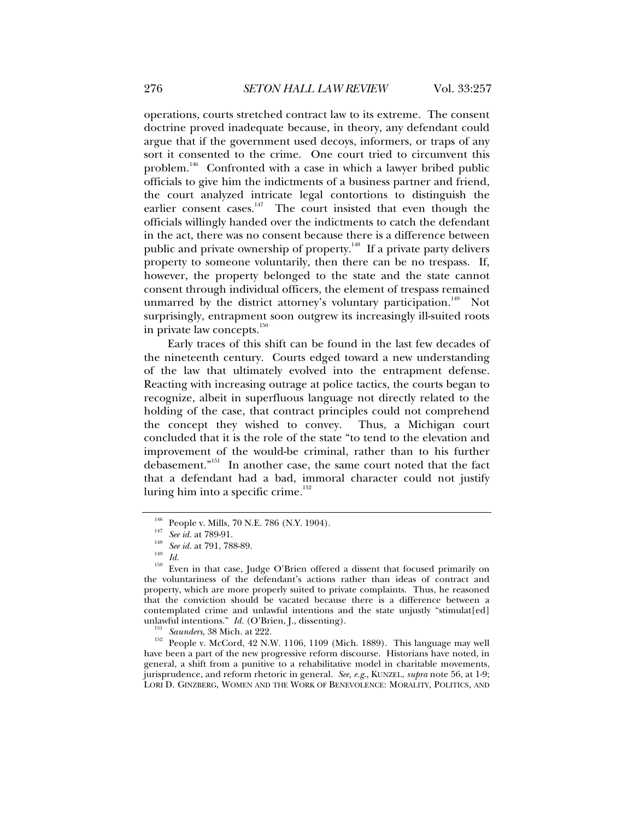operations, courts stretched contract law to its extreme. The consent doctrine proved inadequate because, in theory, any defendant could argue that if the government used decoys, informers, or traps of any sort it consented to the crime. One court tried to circumvent this problem.<sup>146</sup> Confronted with a case in which a lawyer bribed public officials to give him the indictments of a business partner and friend, the court analyzed intricate legal contortions to distinguish the earlier consent cases.<sup>147</sup> The court insisted that even though the officials willingly handed over the indictments to catch the defendant in the act, there was no consent because there is a difference between public and private ownership of property.<sup>148</sup> If a private party delivers property to someone voluntarily, then there can be no trespass. If, however, the property belonged to the state and the state cannot consent through individual officers, the element of trespass remained unmarred by the district attorney's voluntary participation.<sup>149</sup> Not surprisingly, entrapment soon outgrew its increasingly ill-suited roots in private law concepts.<sup>150</sup>

Early traces of this shift can be found in the last few decades of the nineteenth century. Courts edged toward a new understanding of the law that ultimately evolved into the entrapment defense. Reacting with increasing outrage at police tactics, the courts began to recognize, albeit in superfluous language not directly related to the holding of the case, that contract principles could not comprehend the concept they wished to convey. Thus, a Michigan court concluded that it is the role of the state "to tend to the elevation and improvement of the would-be criminal, rather than to his further debasement."151 In another case, the same court noted that the fact that a defendant had a bad, immoral character could not justify luring him into a specific crime. $152$ 

<sup>&</sup>lt;sup>146</sup> People v. Mills, 70 N.E. 786 (N.Y. 1904).<br><sup>147</sup> *See id.* at 789-91.<br><sup>148</sup> *Id. Id.* Iso in that case, Judge O'Brien offered a dissent that focused primarily on the voluntariness of the defendant's actions rather than ideas of contract and property, which are more properly suited to private complaints. Thus, he reasoned that the conviction should be vacated because there is a difference between a contemplated crime and unlawful intentions and the state unjustly "stimulat[ed] unlawful intentions."  $Id.$  (O'Brien, J., dissenting).

<sup>&</sup>lt;sup>151</sup> *Saunders*, 38 Mich. at 222.<br><sup>152</sup> People v. McCord, 42 N.W. 1106, 1109 (Mich. 1889). This language may well have been a part of the new progressive reform discourse. Historians have noted, in general, a shift from a punitive to a rehabilitative model in charitable movements, jurisprudence, and reform rhetoric in general. *See, e.g*., KUNZEL, *supra* note 56, at 1-9; LORI D. GINZBERG, WOMEN AND THE WORK OF BENEVOLENCE: MORALITY, POLITICS, AND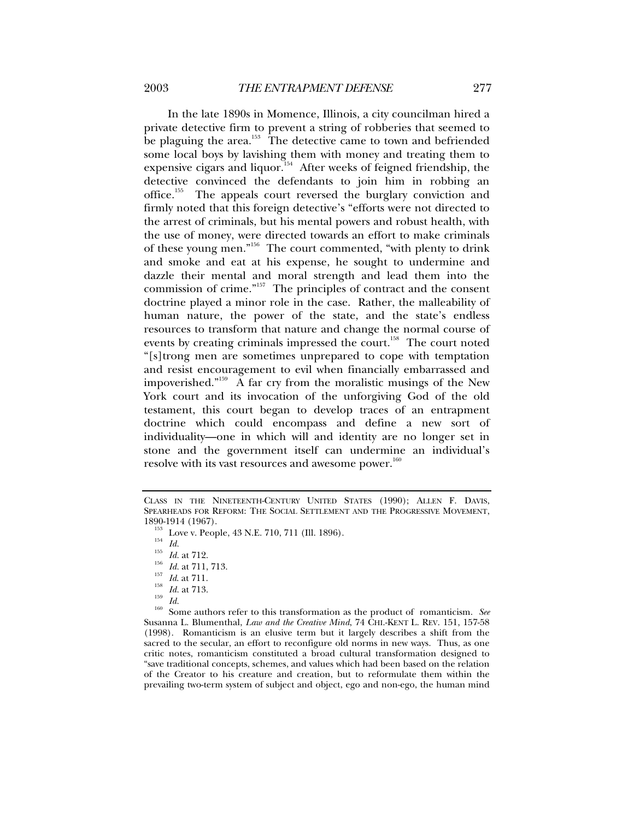In the late 1890s in Momence, Illinois, a city councilman hired a private detective firm to prevent a string of robberies that seemed to be plaguing the area.<sup>153</sup> The detective came to town and befriended some local boys by lavishing them with money and treating them to expensive cigars and liquor.<sup>154</sup> After weeks of feigned friendship, the detective convinced the defendants to join him in robbing an office.<sup>155</sup> The appeals court reversed the burglary conviction and firmly noted that this foreign detective's "efforts were not directed to the arrest of criminals, but his mental powers and robust health, with the use of money, were directed towards an effort to make criminals of these young men."156 The court commented, "with plenty to drink and smoke and eat at his expense, he sought to undermine and dazzle their mental and moral strength and lead them into the commission of crime."157 The principles of contract and the consent doctrine played a minor role in the case. Rather, the malleability of human nature, the power of the state, and the state's endless resources to transform that nature and change the normal course of events by creating criminals impressed the court.<sup>158</sup> The court noted "[s]trong men are sometimes unprepared to cope with temptation and resist encouragement to evil when financially embarrassed and impoverished."<sup>159</sup> A far cry from the moralistic musings of the New York court and its invocation of the unforgiving God of the old testament, this court began to develop traces of an entrapment doctrine which could encompass and define a new sort of individuality—one in which will and identity are no longer set in stone and the government itself can undermine an individual's resolve with its vast resources and awesome power.<sup>160</sup>

1890-1914 (1967).<br>
<sup>153</sup> Love v. People, 43 N.E. 710, 711 (Ill. 1896).<br>
<sup>154</sup> *Id.*<br>
<sup>155</sup> *Id.* at 712.<br>
<sup>155</sup> *Id.* at 711, 713.<br>
<sup>157</sup> *Id.* at 711.<br>
<sup>158</sup> *Id.* at 711.<br>
<sup>158</sup> *Id.* at 713.<br>
<sup>159</sup> *Id.*<br>
<sup>160</sup> Some au Susanna L. Blumenthal, *Law and the Creative Mind*, 74 CHI.-KENT L. REV. 151, 157-58 (1998). Romanticism is an elusive term but it largely describes a shift from the sacred to the secular, an effort to reconfigure old norms in new ways. Thus, as one critic notes, romanticism constituted a broad cultural transformation designed to "save traditional concepts, schemes, and values which had been based on the relation of the Creator to his creature and creation, but to reformulate them within the prevailing two-term system of subject and object, ego and non-ego, the human mind

CLASS IN THE NINETEENTH-CENTURY UNITED STATES (1990); ALLEN F. DAVIS, SPEARHEADS FOR REFORM: THE SOCIAL SETTLEMENT AND THE PROGRESSIVE MOVEMENT, 1890-1914 (1967).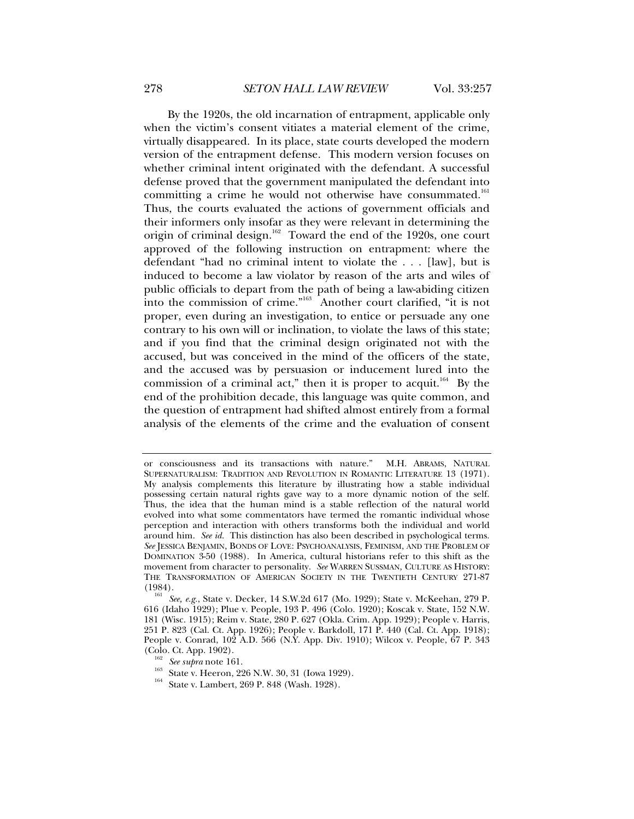By the 1920s, the old incarnation of entrapment, applicable only when the victim's consent vitiates a material element of the crime, virtually disappeared. In its place, state courts developed the modern version of the entrapment defense. This modern version focuses on whether criminal intent originated with the defendant. A successful defense proved that the government manipulated the defendant into committing a crime he would not otherwise have consummated.<sup>161</sup> Thus, the courts evaluated the actions of government officials and their informers only insofar as they were relevant in determining the origin of criminal design.<sup>162</sup> Toward the end of the 1920s, one court approved of the following instruction on entrapment: where the defendant "had no criminal intent to violate the . . . [law], but is induced to become a law violator by reason of the arts and wiles of public officials to depart from the path of being a law-abiding citizen into the commission of crime."163 Another court clarified, "it is not proper, even during an investigation, to entice or persuade any one contrary to his own will or inclination, to violate the laws of this state; and if you find that the criminal design originated not with the accused, but was conceived in the mind of the officers of the state, and the accused was by persuasion or inducement lured into the commission of a criminal act," then it is proper to acquit.<sup>164</sup> By the end of the prohibition decade, this language was quite common, and the question of entrapment had shifted almost entirely from a formal analysis of the elements of the crime and the evaluation of consent

- <sup>162</sup> See *supra* note 161.<br><sup>163</sup> State v. Heeron, 226 N.W. 30, 31 (Iowa 1929).<br><sup>164</sup> State v. Lambert, 269 P. 848 (Wash. 1928).
- 

or consciousness and its transactions with nature." M.H. ABRAMS, NATURAL SUPERNATURALISM: TRADITION AND REVOLUTION IN ROMANTIC LITERATURE 13 (1971). My analysis complements this literature by illustrating how a stable individual possessing certain natural rights gave way to a more dynamic notion of the self. Thus, the idea that the human mind is a stable reflection of the natural world evolved into what some commentators have termed the romantic individual whose perception and interaction with others transforms both the individual and world around him. *See id.* This distinction has also been described in psychological terms. *See* JESSICA BENJAMIN, BONDS OF LOVE: PSYCHOANALYSIS, FEMINISM, AND THE PROBLEM OF DOMINATION 3-50 (1988). In America, cultural historians refer to this shift as the movement from character to personality. *See* WARREN SUSSMAN, CULTURE AS HISTORY: THE TRANSFORMATION OF AMERICAN SOCIETY IN THE TWENTIETH CENTURY 271-87 (1984).

See, e.g., State v. Decker, 14 S.W.2d 617 (Mo. 1929); State v. McKeehan, 279 P. 616 (Idaho 1929); Plue v. People, 193 P. 496 (Colo. 1920); Koscak v. State, 152 N.W. 181 (Wisc. 1915); Reim v. State, 280 P. 627 (Okla. Crim. App. 1929); People v. Harris, 251 P. 823 (Cal. Ct. App. 1926); People v. Barkdoll, 171 P. 440 (Cal. Ct. App. 1918); People v. Conrad, 102 A.D. 566 (N.Y. App. Div. 1910); Wilcox v. People, 67 P. 343 (Colo. Ct. App. 1902).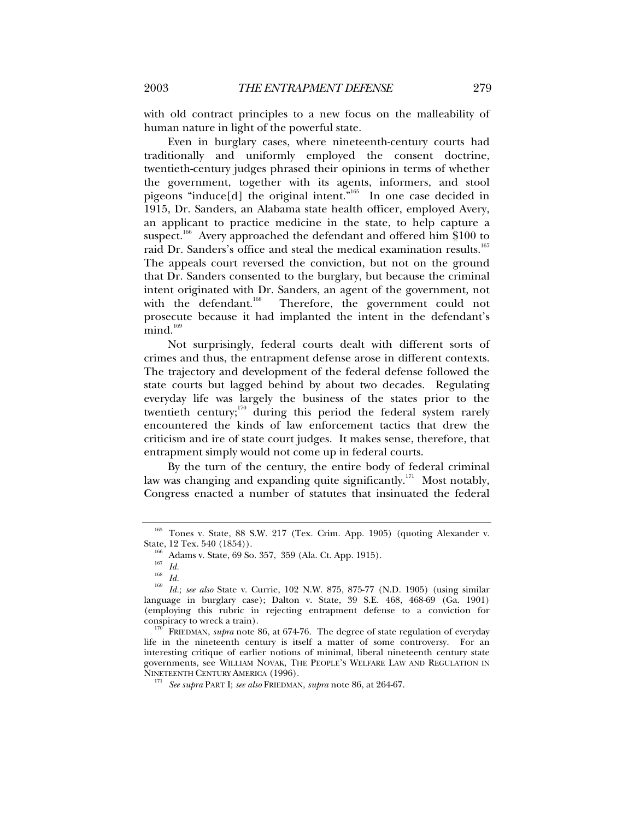with old contract principles to a new focus on the malleability of human nature in light of the powerful state.

Even in burglary cases, where nineteenth-century courts had traditionally and uniformly employed the consent doctrine, twentieth-century judges phrased their opinions in terms of whether the government, together with its agents, informers, and stool pigeons "induce[d] the original intent."165 In one case decided in 1915, Dr. Sanders, an Alabama state health officer, employed Avery, an applicant to practice medicine in the state, to help capture a suspect.<sup>166</sup> Avery approached the defendant and offered him \$100 to raid Dr. Sanders's office and steal the medical examination results.<sup>167</sup> The appeals court reversed the conviction, but not on the ground that Dr. Sanders consented to the burglary, but because the criminal intent originated with Dr. Sanders, an agent of the government, not<br>with the defendant.<sup>168</sup> Therefore, the government could not Therefore, the government could not prosecute because it had implanted the intent in the defendant's  $mind.<sup>169</sup>$ 

Not surprisingly, federal courts dealt with different sorts of crimes and thus, the entrapment defense arose in different contexts. The trajectory and development of the federal defense followed the state courts but lagged behind by about two decades. Regulating everyday life was largely the business of the states prior to the twentieth century; $170$  during this period the federal system rarely encountered the kinds of law enforcement tactics that drew the criticism and ire of state court judges. It makes sense, therefore, that entrapment simply would not come up in federal courts.

By the turn of the century, the entire body of federal criminal law was changing and expanding quite significantly.<sup>171</sup> Most notably, Congress enacted a number of statutes that insinuated the federal

 $^{165}$  Tones v. State, 88 S.W. 217 (Tex. Crim. App. 1905) (quoting Alexander v. State, 12 Tex. 540 (1854)).

<sup>&</sup>lt;sup>166</sup> Adams v. State, 69 So. 357, 359 (Ala. Ct. App. 1915).<br><sup>167</sup> *Id.*<br><sup>168</sup> *Id.*; *see also* State v. Currie, 102 N.W. 875, 875-77 (N.D. 1905) (using similar language in burglary case); Dalton v. State, 39 S.E. 468, 468-69 (Ga. 1901) (employing this rubric in rejecting entrapment defense to a conviction for conspiracy to wreck a train). 170 FRIEDMAN, *supra* note 86, at 674-76. The degree of state regulation of everyday

life in the nineteenth century is itself a matter of some controversy. For an interesting critique of earlier notions of minimal, liberal nineteenth century state governments, see WILLIAM NOVAK, THE PEOPLE'S WELFARE LAW AND REGULATION IN NINETEENTH CENTURY AMERICA (1996).

<sup>&</sup>lt;sup>171</sup> See supra PART I; see also FRIEDMAN, *supra* note 86, at 264-67.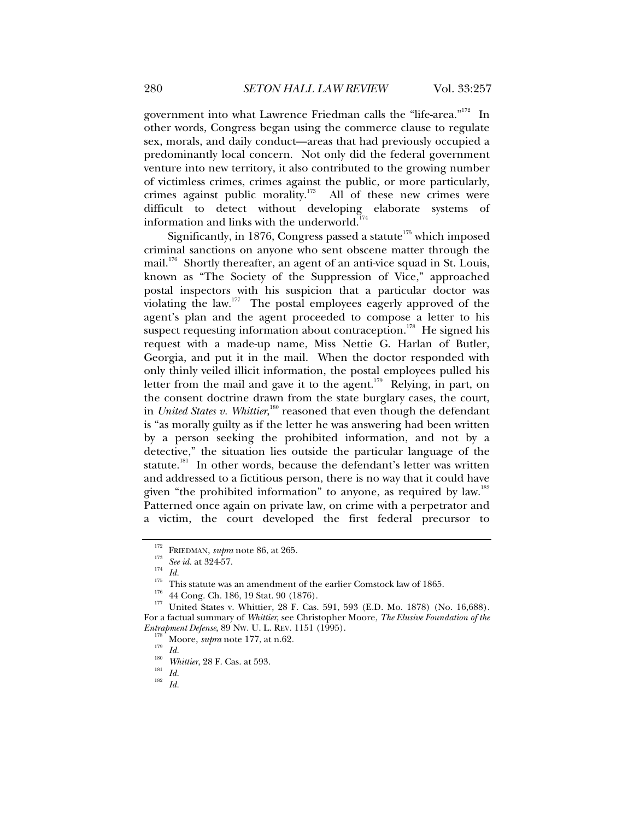government into what Lawrence Friedman calls the "life-area."<sup>172</sup> In other words, Congress began using the commerce clause to regulate sex, morals, and daily conduct—areas that had previously occupied a predominantly local concern. Not only did the federal government venture into new territory, it also contributed to the growing number of victimless crimes, crimes against the public, or more particularly, crimes against public morality.<sup>173</sup> All of these new crimes were difficult to detect without developing elaborate systems of information and links with the underworld.<sup>1</sup>

Significantly, in 1876, Congress passed a statute<sup> $175$ </sup> which imposed criminal sanctions on anyone who sent obscene matter through the mail.<sup>176</sup> Shortly thereafter, an agent of an anti-vice squad in St. Louis, known as "The Society of the Suppression of Vice," approached postal inspectors with his suspicion that a particular doctor was violating the law.<sup>177</sup> The postal employees eagerly approved of the agent's plan and the agent proceeded to compose a letter to his suspect requesting information about contraception.<sup>178</sup> He signed his request with a made-up name, Miss Nettie G. Harlan of Butler, Georgia, and put it in the mail. When the doctor responded with only thinly veiled illicit information, the postal employees pulled his letter from the mail and gave it to the agent.<sup>179</sup> Relying, in part, on the consent doctrine drawn from the state burglary cases, the court, in *United States v. Whittier*,<sup>180</sup> reasoned that even though the defendant is "as morally guilty as if the letter he was answering had been written by a person seeking the prohibited information, and not by a detective," the situation lies outside the particular language of the statute.<sup>181</sup> In other words, because the defendant's letter was written and addressed to a fictitious person, there is no way that it could have given "the prohibited information" to anyone, as required by law.<sup>182</sup> Patterned once again on private law, on crime with a perpetrator and a victim, the court developed the first federal precursor to

<sup>&</sup>lt;sup>172</sup> FRIEDMAN, *supra* note 86, at 265.<br>
<sup>173</sup> See id. at 324-57.<br>
<sup>174</sup> Id.<br>
<sup>175</sup> This statute was an amendment of the earlier Comstock law of 1865.<br>
<sup>176</sup> 44 Cong. Ch. 186, 19 Stat. 90 (1876).<br>
<sup>177</sup> United States v. For a factual summary of *Whittier*, see Christopher Moore, *The Elusive Foundation of the* 

<sup>&</sup>lt;sup>179</sup> *Io.* Moore, *supra* note 177, at n.62.<br>
<sup>130</sup> *Id. Whittier*, 28 F. Cas. at 593.<br>
<sup>181</sup> *Id.* 182 *Id.*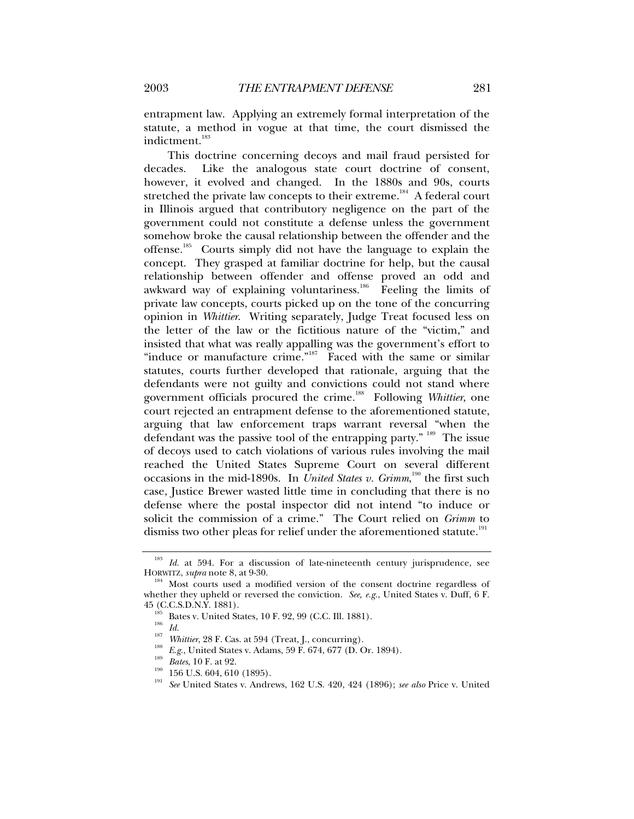entrapment law. Applying an extremely formal interpretation of the statute, a method in vogue at that time, the court dismissed the indictment.<sup>183</sup>

This doctrine concerning decoys and mail fraud persisted for decades. Like the analogous state court doctrine of consent, however, it evolved and changed. In the 1880s and 90s, courts stretched the private law concepts to their extreme.<sup>184</sup> A federal court in Illinois argued that contributory negligence on the part of the government could not constitute a defense unless the government somehow broke the causal relationship between the offender and the offense.<sup>185</sup> Courts simply did not have the language to explain the concept. They grasped at familiar doctrine for help, but the causal relationship between offender and offense proved an odd and awkward way of explaining voluntariness.<sup>186</sup> Feeling the limits of private law concepts, courts picked up on the tone of the concurring opinion in *Whittier*. Writing separately, Judge Treat focused less on the letter of the law or the fictitious nature of the "victim," and insisted that what was really appalling was the government's effort to "induce or manufacture crime."<sup>187</sup> Faced with the same or similar statutes, courts further developed that rationale, arguing that the defendants were not guilty and convictions could not stand where government officials procured the crime.<sup>188</sup> Following *Whittier*, one court rejected an entrapment defense to the aforementioned statute, arguing that law enforcement traps warrant reversal "when the defendant was the passive tool of the entrapping party." <sup>189</sup> The issue of decoys used to catch violations of various rules involving the mail reached the United States Supreme Court on several different occasions in the mid-1890s. In *United States v. Grimm*,<sup>190</sup> the first such case, Justice Brewer wasted little time in concluding that there is no defense where the postal inspector did not intend "to induce or solicit the commission of a crime." The Court relied on *Grimm* to dismiss two other pleas for relief under the aforementioned statute.<sup>191</sup>

<sup>&</sup>lt;sup>183</sup> *Id.* at 594. For a discussion of late-nineteenth century jurisprudence, see HORWITZ, *supra* note 8, at 9-30.

<sup>&</sup>lt;sup>184</sup> Most courts used a modified version of the consent doctrine regardless of whether they upheld or reversed the conviction. *See, e.g.*, United States v. Duff, 6 F. 45 (C.C.S.D.N.Y. 1881).<br>
<sup>185</sup> Bates v. United States, 10 F. 92, 99 (C.C. Ill. 1881).<br>
<sup>186</sup> *Id.*<br>
<sup>187</sup> *Whittier*, 28 F. Cas. at 594 (Treat, J., concurring).<br>
<sup>188</sup> *E.g.*, United States v. Adams, 59 F. 674, 677 (D. Or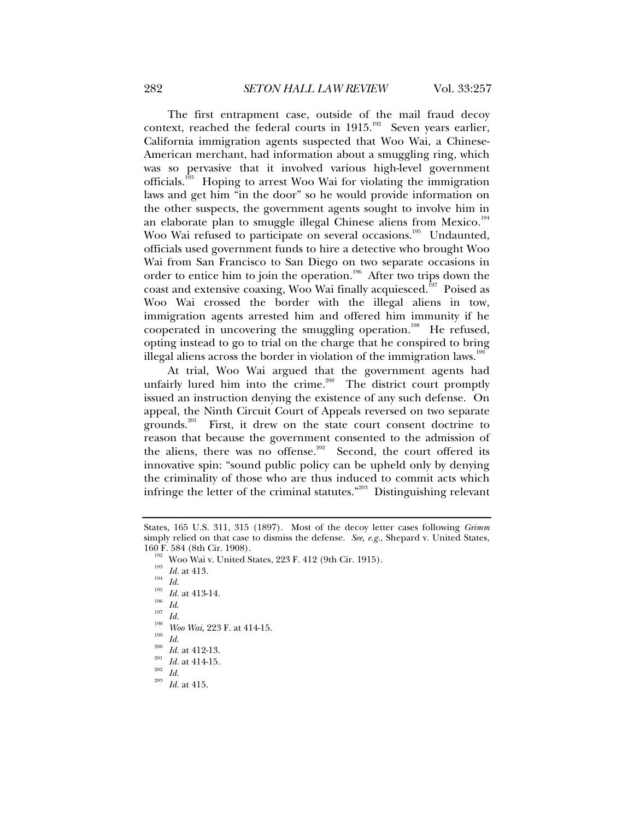The first entrapment case, outside of the mail fraud decoy context, reached the federal courts in  $1915$ .<sup>192</sup> Seven years earlier, California immigration agents suspected that Woo Wai, a Chinese-American merchant, had information about a smuggling ring, which was so pervasive that it involved various high-level government officials.193 Hoping to arrest Woo Wai for violating the immigration laws and get him "in the door" so he would provide information on the other suspects, the government agents sought to involve him in an elaborate plan to smuggle illegal Chinese aliens from Mexico.<sup>194</sup> Woo Wai refused to participate on several occasions.<sup>195</sup> Undaunted, officials used government funds to hire a detective who brought Woo Wai from San Francisco to San Diego on two separate occasions in order to entice him to join the operation.<sup>196</sup> After two trips down the coast and extensive coaxing, Woo Wai finally acquiesced.<sup>197</sup> Poised as Woo Wai crossed the border with the illegal aliens in tow, immigration agents arrested him and offered him immunity if he cooperated in uncovering the smuggling operation.<sup>198</sup> He refused, opting instead to go to trial on the charge that he conspired to bring illegal aliens across the border in violation of the immigration laws.<sup>199</sup>

At trial, Woo Wai argued that the government agents had unfairly lured him into the crime.<sup>200</sup> The district court promptly issued an instruction denying the existence of any such defense. On appeal, the Ninth Circuit Court of Appeals reversed on two separate grounds.<sup>201</sup> First, it drew on the state court consent doctrine to reason that because the government consented to the admission of the aliens, there was no offense.<sup>202</sup> Second, the court offered its innovative spin: "sound public policy can be upheld only by denying the criminality of those who are thus induced to commit acts which infringe the letter of the criminal statutes."203 Distinguishing relevant

- 
- 

States, 165 U.S. 311, 315 (1897). Most of the decoy letter cases following *Grimm* simply relied on that case to dismiss the defense. *See, e.g.*, Shepard v. United States,

<sup>160</sup> F. 584 (8th Cir. 1908).<br>
<sup>192</sup> Woo Wai v. United States, 223 F. 412 (9th Cir. 1915).<br>
<sup>193</sup> Id. at 413.<br>
<sup>195</sup> Id. at 413-14.<br>
<sup>195</sup> Id. at 413-14.<br>
<sup>196</sup> Id.<br>
<sup>197</sup> Id.<br>
<sup>196</sup> Id.<br>
<sup>197</sup> Id.<br>
<sup>198</sup> Woo Wai, 223 F. at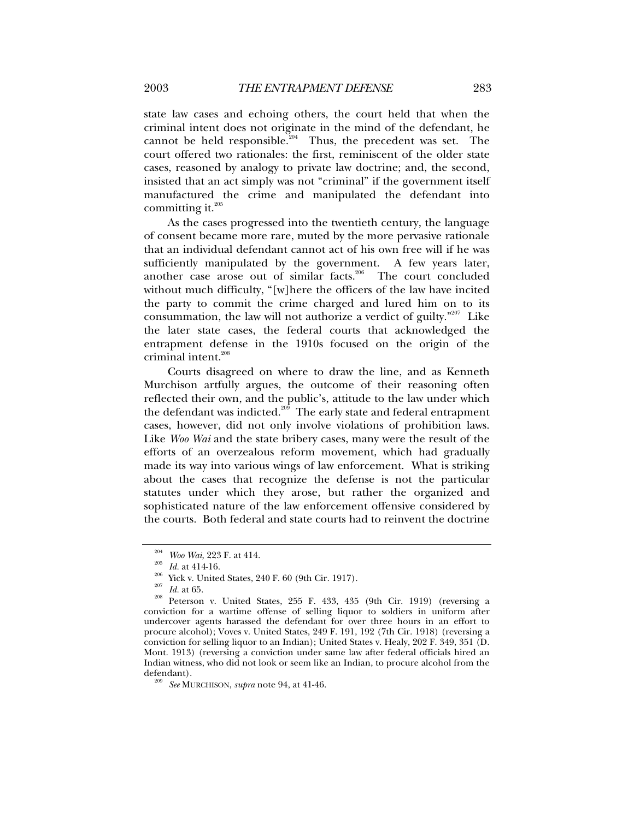state law cases and echoing others, the court held that when the criminal intent does not originate in the mind of the defendant, he cannot be held responsible.<sup>204</sup> Thus, the precedent was set. The court offered two rationales: the first, reminiscent of the older state cases, reasoned by analogy to private law doctrine; and, the second, insisted that an act simply was not "criminal" if the government itself manufactured the crime and manipulated the defendant into committing it. $^{205}$ 

As the cases progressed into the twentieth century, the language of consent became more rare, muted by the more pervasive rationale that an individual defendant cannot act of his own free will if he was sufficiently manipulated by the government. A few years later, another case arose out of similar facts.<sup>206</sup> The court concluded without much difficulty, "[w]here the officers of the law have incited the party to commit the crime charged and lured him on to its consummation, the law will not authorize a verdict of guilty."<sup>207</sup> Like the later state cases, the federal courts that acknowledged the entrapment defense in the 1910s focused on the origin of the criminal intent.<sup>208</sup>

Courts disagreed on where to draw the line, and as Kenneth Murchison artfully argues, the outcome of their reasoning often reflected their own, and the public's, attitude to the law under which the defendant was indicted. $209$  The early state and federal entrapment cases, however, did not only involve violations of prohibition laws. Like *Woo Wai* and the state bribery cases, many were the result of the efforts of an overzealous reform movement, which had gradually made its way into various wings of law enforcement. What is striking about the cases that recognize the defense is not the particular statutes under which they arose, but rather the organized and sophisticated nature of the law enforcement offensive considered by the courts. Both federal and state courts had to reinvent the doctrine

<sup>&</sup>lt;sup>204</sup> *Woo Wai*, 223 F. at 414.<br><sup>205</sup> *Id.* at 414-16.<br><sup>206</sup> Yick v. United States, 240 F. 60 (9th Cir. 1917).<br><sup>207</sup> *Id.* at 65.<br>Peterson v. United States, 255 F. 433, 435 (9th Cir. 1919) (reversing a conviction for a wartime offense of selling liquor to soldiers in uniform after undercover agents harassed the defendant for over three hours in an effort to procure alcohol); Voves v. United States, 249 F. 191, 192 (7th Cir. 1918) (reversing a conviction for selling liquor to an Indian); United States v. Healy, 202 F. 349, 351 (D. Mont. 1913) (reversing a conviction under same law after federal officials hired an Indian witness, who did not look or seem like an Indian, to procure alcohol from the defendant). 209 *See* MURCHISON, *supra* note 94, at 41-46.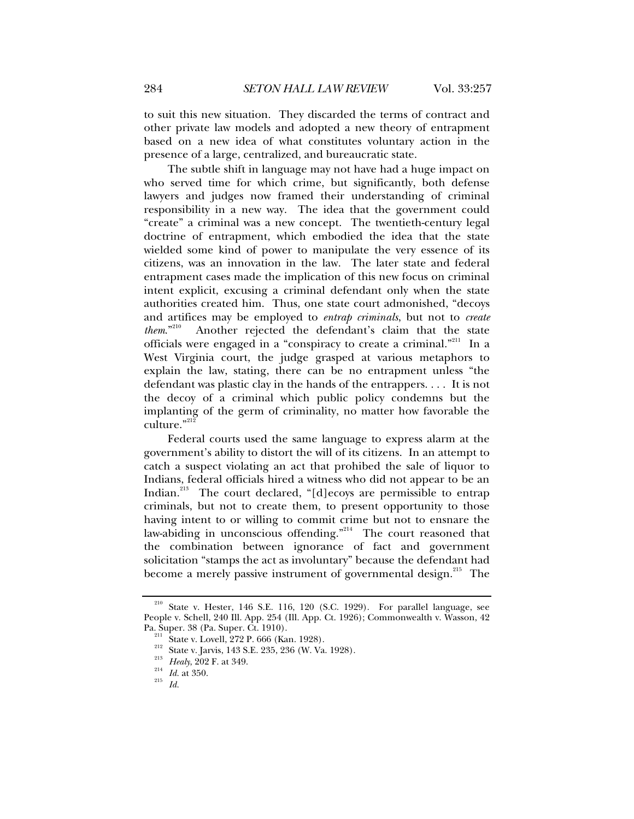to suit this new situation. They discarded the terms of contract and other private law models and adopted a new theory of entrapment based on a new idea of what constitutes voluntary action in the presence of a large, centralized, and bureaucratic state.

The subtle shift in language may not have had a huge impact on who served time for which crime, but significantly, both defense lawyers and judges now framed their understanding of criminal responsibility in a new way. The idea that the government could "create" a criminal was a new concept. The twentieth-century legal doctrine of entrapment, which embodied the idea that the state wielded some kind of power to manipulate the very essence of its citizens, was an innovation in the law. The later state and federal entrapment cases made the implication of this new focus on criminal intent explicit, excusing a criminal defendant only when the state authorities created him. Thus, one state court admonished, "decoys and artifices may be employed to *entrap criminals*, but not to *create* them.<sup>2210</sup> Another rejected the defendant's claim that the state Another rejected the defendant's claim that the state officials were engaged in a "conspiracy to create a criminal."<sup>211</sup> In a West Virginia court, the judge grasped at various metaphors to explain the law, stating, there can be no entrapment unless "the defendant was plastic clay in the hands of the entrappers. . . . It is not the decoy of a criminal which public policy condemns but the implanting of the germ of criminality, no matter how favorable the culture."212

Federal courts used the same language to express alarm at the government's ability to distort the will of its citizens. In an attempt to catch a suspect violating an act that prohibed the sale of liquor to Indians, federal officials hired a witness who did not appear to be an Indian.<sup>213</sup> The court declared, "[d]ecoys are permissible to entrap criminals, but not to create them, to present opportunity to those having intent to or willing to commit crime but not to ensnare the law-abiding in unconscious offending."<sup>214</sup> The court reasoned that the combination between ignorance of fact and government solicitation "stamps the act as involuntary" because the defendant had become a merely passive instrument of governmental design.<sup>215</sup> The

<sup>210</sup> State v. Hester, 146 S.E. 116, 120 (S.C. 1929). For parallel language, see People v. Schell, 240 Ill. App. 254 (Ill. App. Ct. 1926); Commonwealth v. Wasson, 42

<sup>&</sup>lt;sup>211</sup> State v. Lovell, 272 P. 666 (Kan. 1928).<br><sup>212</sup> State v. Jarvis, 143 S.E. 235, 236 (W. Va. 1928).<br><sup>213</sup> *Healy*, 202 F. at 349.<br>*Id. Id.* at 350. *Id.*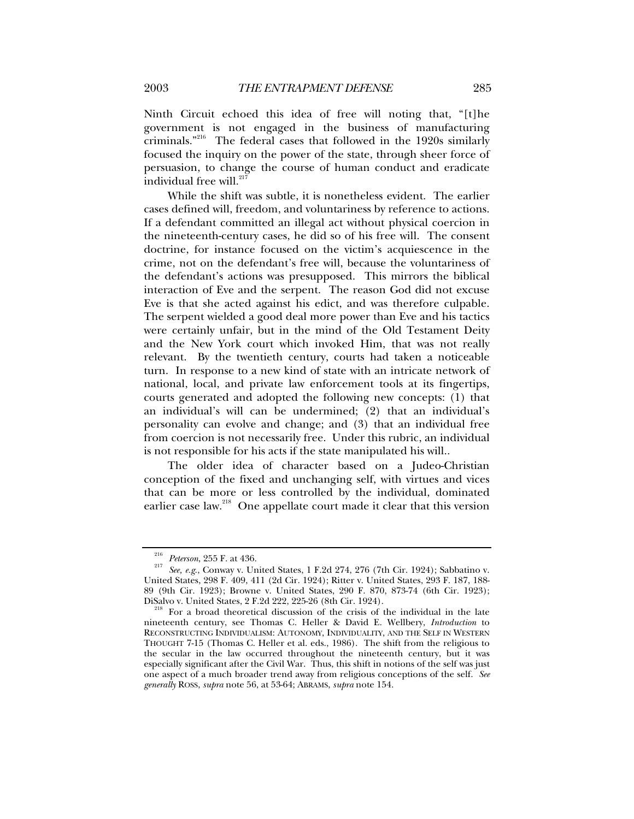Ninth Circuit echoed this idea of free will noting that, "[t]he government is not engaged in the business of manufacturing criminals."216 The federal cases that followed in the 1920s similarly focused the inquiry on the power of the state, through sheer force of persuasion, to change the course of human conduct and eradicate individual free will.<sup>217</sup>

While the shift was subtle, it is nonetheless evident. The earlier cases defined will, freedom, and voluntariness by reference to actions. If a defendant committed an illegal act without physical coercion in the nineteenth-century cases, he did so of his free will. The consent doctrine, for instance focused on the victim's acquiescence in the crime, not on the defendant's free will, because the voluntariness of the defendant's actions was presupposed. This mirrors the biblical interaction of Eve and the serpent. The reason God did not excuse Eve is that she acted against his edict, and was therefore culpable. The serpent wielded a good deal more power than Eve and his tactics were certainly unfair, but in the mind of the Old Testament Deity and the New York court which invoked Him, that was not really relevant. By the twentieth century, courts had taken a noticeable turn. In response to a new kind of state with an intricate network of national, local, and private law enforcement tools at its fingertips, courts generated and adopted the following new concepts: (1) that an individual's will can be undermined; (2) that an individual's personality can evolve and change; and (3) that an individual free from coercion is not necessarily free. Under this rubric, an individual is not responsible for his acts if the state manipulated his will..

The older idea of character based on a Judeo-Christian conception of the fixed and unchanging self, with virtues and vices that can be more or less controlled by the individual, dominated earlier case law.<sup>218</sup> One appellate court made it clear that this version

<sup>216</sup> *Peterson*, 255 F. at 436. 217 *See, e.g*., Conway v. United States, 1 F.2d 274, 276 (7th Cir. 1924); Sabbatino v. United States, 298 F. 409, 411 (2d Cir. 1924); Ritter v. United States, 293 F. 187, 188- 89 (9th Cir. 1923); Browne v. United States, 290 F. 870, 873-74 (6th Cir. 1923); DiSalvo v. United States, 2 F.2d 222, 225-26 (8th Cir. 1924).<br><sup>218</sup> For a broad theoretical discussion of the crisis of the individual in the late

nineteenth century, see Thomas C. Heller & David E. Wellbery, *Introduction* to RECONSTRUCTING INDIVIDUALISM: AUTONOMY, INDIVIDUALITY, AND THE SELF IN WESTERN THOUGHT 7-15 (Thomas C. Heller et al. eds., 1986). The shift from the religious to the secular in the law occurred throughout the nineteenth century, but it was especially significant after the Civil War. Thus, this shift in notions of the self was just one aspect of a much broader trend away from religious conceptions of the self. *See generally* ROSS, *supra* note 56, at 53-64; ABRAMS, *supra* note 154.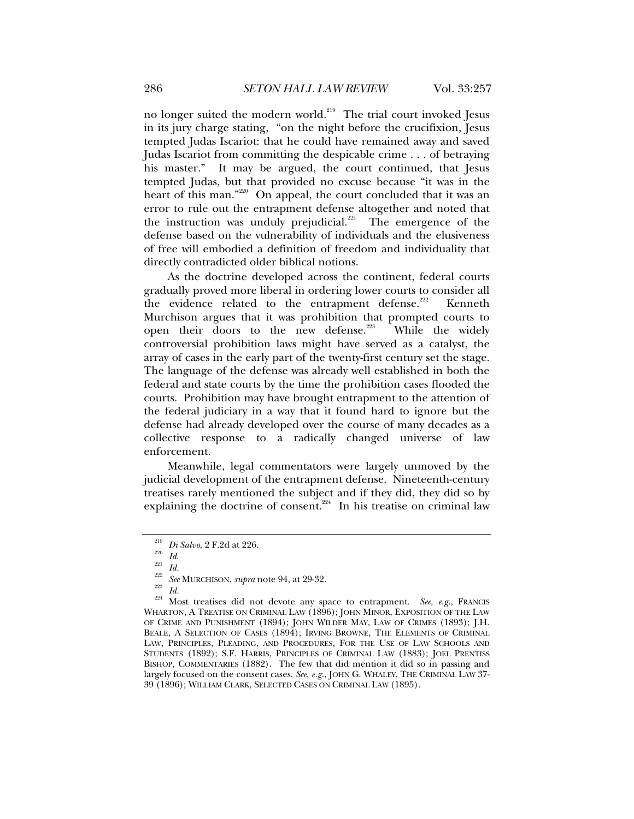no longer suited the modern world.<sup>219</sup> The trial court invoked Jesus in its jury charge stating, "on the night before the crucifixion, Jesus tempted Judas Iscariot: that he could have remained away and saved Judas Iscariot from committing the despicable crime . . . of betraying his master." It may be argued, the court continued, that Jesus tempted Judas, but that provided no excuse because "it was in the heart of this man."<sup>220</sup> On appeal, the court concluded that it was an error to rule out the entrapment defense altogether and noted that the instruction was unduly prejudicial. $221$  The emergence of the defense based on the vulnerability of individuals and the elusiveness of free will embodied a definition of freedom and individuality that directly contradicted older biblical notions.

As the doctrine developed across the continent, federal courts gradually proved more liberal in ordering lower courts to consider all the evidence related to the entrapment defense.<sup>222</sup> Kenneth Murchison argues that it was prohibition that prompted courts to open their doors to the new defense.<sup>223</sup> While the widely controversial prohibition laws might have served as a catalyst, the array of cases in the early part of the twenty-first century set the stage. The language of the defense was already well established in both the federal and state courts by the time the prohibition cases flooded the courts. Prohibition may have brought entrapment to the attention of the federal judiciary in a way that it found hard to ignore but the defense had already developed over the course of many decades as a collective response to a radically changed universe of law enforcement.

Meanwhile, legal commentators were largely unmoved by the judicial development of the entrapment defense. Nineteenth-century treatises rarely mentioned the subject and if they did, they did so by explaining the doctrine of consent.<sup> $224$ </sup> In his treatise on criminal law

<sup>219</sup> *Di Salvo*, 2 F.2d at 226. 220 *Id*. 221 *Id.* <sup>222</sup> *See* MURCHISON, *supra* note 94, at 29-32. 223 *Id.* 224 Most treatises did not devote any space to entrapment. *See, e.g.*, FRANCIS WHARTON, A TREATISE ON CRIMINAL LAW (1896); JOHN MINOR, EXPOSITION OF THE LAW OF CRIME AND PUNISHMENT (1894); JOHN WILDER MAY, LAW OF CRIMES (1893); J.H. BEALE, A SELECTION OF CASES (1894); IRVING BROWNE, THE ELEMENTS OF CRIMINAL LAW, PRINCIPLES, PLEADING, AND PROCEDURES, FOR THE USE OF LAW SCHOOLS AND STUDENTS (1892); S.F. HARRIS, PRINCIPLES OF CRIMINAL LAW (1883); JOEL PRENTISS BISHOP, COMMENTARIES (1882). The few that did mention it did so in passing and largely focused on the consent cases. *See, e.g.*, JOHN G. WHALEY, THE CRIMINAL LAW 37- 39 (1896); WILLIAM CLARK, SELECTED CASES ON CRIMINAL LAW (1895).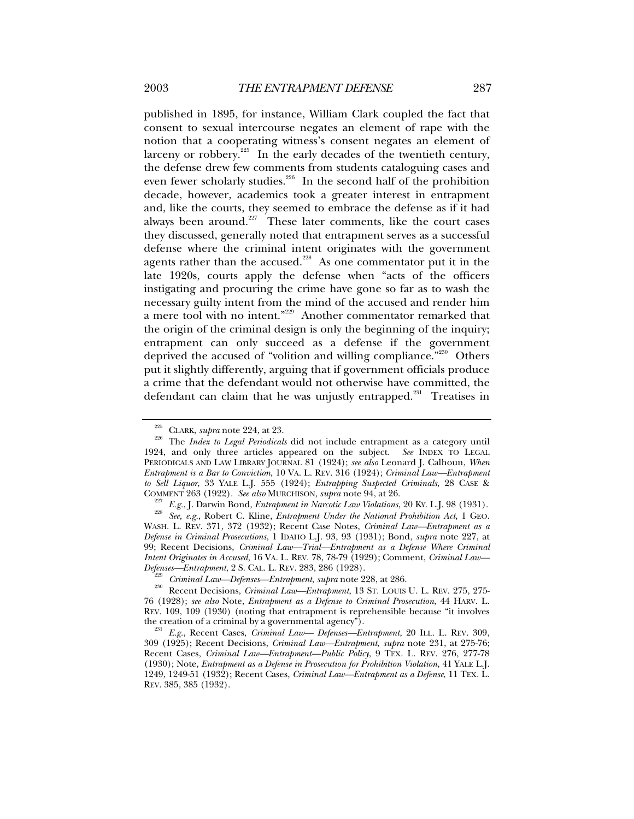published in 1895, for instance, William Clark coupled the fact that consent to sexual intercourse negates an element of rape with the notion that a cooperating witness's consent negates an element of larceny or robbery.<sup>225</sup> In the early decades of the twentieth century, the defense drew few comments from students cataloguing cases and even fewer scholarly studies.<sup>226</sup> In the second half of the prohibition decade, however, academics took a greater interest in entrapment and, like the courts, they seemed to embrace the defense as if it had always been around. $227$  These later comments, like the court cases they discussed, generally noted that entrapment serves as a successful defense where the criminal intent originates with the government agents rather than the accused.<sup>228</sup> As one commentator put it in the late 1920s, courts apply the defense when "acts of the officers instigating and procuring the crime have gone so far as to wash the necessary guilty intent from the mind of the accused and render him a mere tool with no intent."229 Another commentator remarked that the origin of the criminal design is only the beginning of the inquiry; entrapment can only succeed as a defense if the government deprived the accused of "volition and willing compliance."<sup>230</sup> Others put it slightly differently, arguing that if government officials produce a crime that the defendant would not otherwise have committed, the defendant can claim that he was unjustly entrapped. $231$  Treatises in

<sup>225</sup> CLARK, *supra* note 224, at 23. 226 The *Index to Legal Periodicals* did not include entrapment as a category until 1924, and only three articles appeared on the subject. *See* INDEX TO LEGAL PERIODICALS AND LAW LIBRARY JOURNAL 81 (1924); *see also* Leonard J. Calhoun, *When Entrapment is a Bar to Conviction*, 10 VA. L. REV. 316 (1924); *Criminal Law—Entrapment to Sell Liquor*, 33 YALE L.J. 555 (1924); *Entrapping Suspected Criminals*, 28 CASE & COMMENT 263 (1922). *See also* MURCHISON, *supra* note 94, at 26.

<sup>&</sup>lt;sup>227</sup> E.g., J. Darwin Bond, *Entrapment in Narcotic Law Violations*, 20 Ky. L.J. 98 (1931).<br><sup>228</sup> See, e.g., Robert C. Kline, *Entrapment Under the National Prohibition Act*, 1 GEO. WASH. L. REV. 371, 372 (1932); Recent Case Notes, *Criminal Law—Entrapment as a Defense in Criminal Prosecutions*, 1 IDAHO L.J. 93, 93 (1931); Bond, *supra* note 227, at 99; Recent Decisions, *Criminal Law—Trial—Entrapment as a Defense Where Criminal Intent Originates in Accused*, 16 VA. L. REV. 78, 78-79 (1929); Comment, *Criminal Law—*

<sup>&</sup>lt;sup>229</sup> *Criminal Law—Defenses—Entrapment, supra* note 228, at 286.<br><sup>230</sup> Recent Decisions, *Criminal Law—Entrapment*, 13 ST. LOUIS U. L. REV. 275, 275-76 (1928); *see also* Note, *Entrapment as a Defense to Criminal Prosecution*, 44 HARV. L. REV. 109, 109 (1930) (noting that entrapment is reprehensible because "it involves the creation of a criminal by a governmental agency"). 231 *E.g.*, Recent Cases, *Criminal Law— Defenses—Entrapment*, 20 ILL. L. REV. 309,

<sup>309 (1925);</sup> Recent Decisions, *Criminal Law—Entrapment*, *supra* note 231, at 275-76; Recent Cases, *Criminal Law—Entrapment—Public Policy*, 9 TEX. L. REV. 276, 277-78 (1930); Note, *Entrapment as a Defense in Prosecution for Prohibition Violation*, 41 YALE L.J. 1249, 1249-51 (1932); Recent Cases, *Criminal Law—Entrapment as a Defense*, 11 TEX. L. REV. 385, 385 (1932).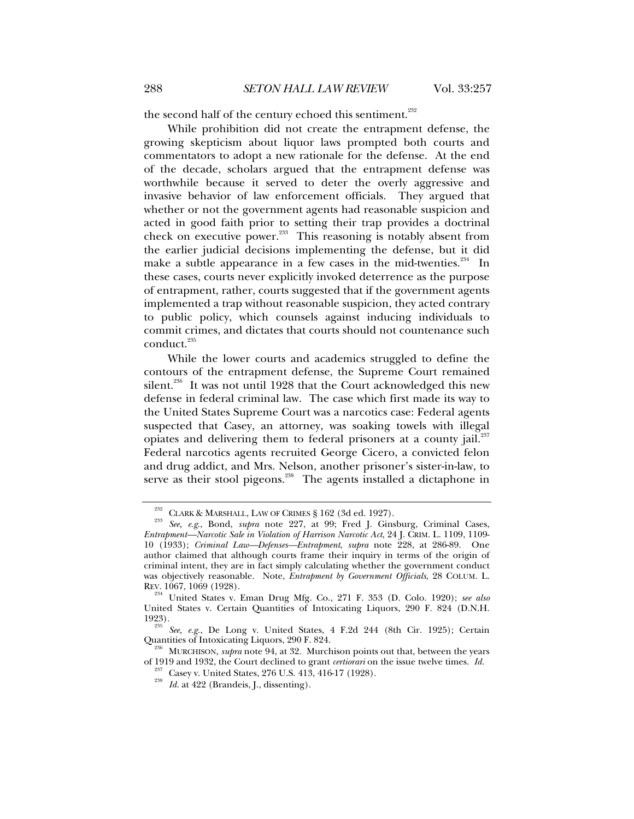the second half of the century echoed this sentiment.<sup>232</sup>

While prohibition did not create the entrapment defense, the growing skepticism about liquor laws prompted both courts and commentators to adopt a new rationale for the defense. At the end of the decade, scholars argued that the entrapment defense was worthwhile because it served to deter the overly aggressive and invasive behavior of law enforcement officials. They argued that whether or not the government agents had reasonable suspicion and acted in good faith prior to setting their trap provides a doctrinal check on executive power.<sup>233</sup> This reasoning is notably absent from the earlier judicial decisions implementing the defense, but it did make a subtle appearance in a few cases in the mid-twenties. $234$  In these cases, courts never explicitly invoked deterrence as the purpose of entrapment, rather, courts suggested that if the government agents implemented a trap without reasonable suspicion, they acted contrary to public policy, which counsels against inducing individuals to commit crimes, and dictates that courts should not countenance such conduct.<sup>235</sup>

While the lower courts and academics struggled to define the contours of the entrapment defense, the Supreme Court remained silent.<sup>236</sup> It was not until 1928 that the Court acknowledged this new defense in federal criminal law. The case which first made its way to the United States Supreme Court was a narcotics case: Federal agents suspected that Casey, an attorney, was soaking towels with illegal opiates and delivering them to federal prisoners at a county jail.<sup>237</sup> Federal narcotics agents recruited George Cicero, a convicted felon and drug addict, and Mrs. Nelson, another prisoner's sister-in-law, to serve as their stool pigeons.<sup>238</sup> The agents installed a dictaphone in

<sup>232</sup> CLARK & MARSHALL, LAW OF CRIMES § 162 (3d ed. 1927). 233 *See, e.g*., Bond, *supra* note 227, at 99; Fred J. Ginsburg, Criminal Cases, *Entrapment—Narcotic Sale in Violation of Harrison Narcotic Act*, 24 J. CRIM. L. 1109, 1109- 10 (1933); *Criminal Law—Defenses—Entrapment*, *supra* note 228, at 286-89. One author claimed that although courts frame their inquiry in terms of the origin of criminal intent, they are in fact simply calculating whether the government conduct was objectively reasonable. Note, *Entrapment by Government Officials*, 28 COLUM. L. REV. 1067, 1069 (1928).

<sup>234</sup> United States v. Eman Drug Mfg. Co., 271 F. 353 (D. Colo. 1920); *see also* United States v. Certain Quantities of Intoxicating Liquors, 290 F. 824 (D.N.H. 1923).

<sup>&</sup>lt;sup>235</sup> See, e.g., De Long v. United States, 4 F.2d 244 (8th Cir. 1925); Certain Quantities of Intoxicating Liquors, 290 F. 824.

<sup>&</sup>lt;sup>236</sup> MURCHISON, *supra* note 94, at 32. Murchison points out that, between the years of 1919 and 1932, the Court declined to grant *certiorari* on the issue twelve times. *Id.* 

<sup>&</sup>lt;sup>237</sup> Casey v. United States, 276 U.S. 413, 416-17 (1928).<br><sup>238</sup> Id. at 422 (Brandeis, J., dissenting).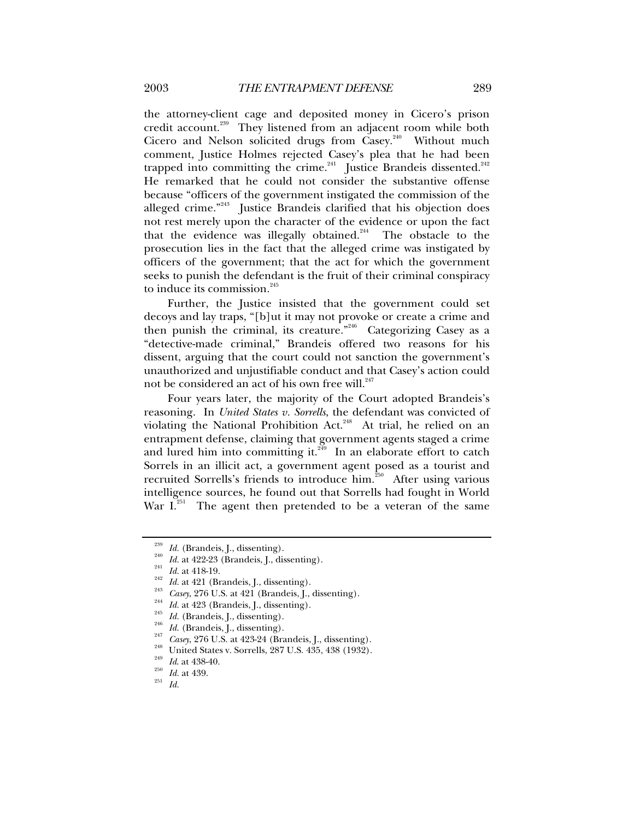the attorney-client cage and deposited money in Cicero's prison credit account.<sup>239</sup> They listened from an adjacent room while both Cicero and Nelson solicited drugs from Casey.<sup>240</sup> Without much comment, Justice Holmes rejected Casey's plea that he had been trapped into committing the crime. $241$  Justice Brandeis dissented. $242$ He remarked that he could not consider the substantive offense because "officers of the government instigated the commission of the alleged crime."<sup>243</sup> Justice Brandeis clarified that his objection does not rest merely upon the character of the evidence or upon the fact that the evidence was illegally obtained.<sup>244</sup> The obstacle to the prosecution lies in the fact that the alleged crime was instigated by officers of the government; that the act for which the government seeks to punish the defendant is the fruit of their criminal conspiracy to induce its commission.<sup>245</sup>

Further, the Justice insisted that the government could set decoys and lay traps, "[b]ut it may not provoke or create a crime and then punish the criminal, its creature."<sup>246</sup> Categorizing Casey as a "detective-made criminal," Brandeis offered two reasons for his dissent, arguing that the court could not sanction the government's unauthorized and unjustifiable conduct and that Casey's action could not be considered an act of his own free will.<sup>247</sup>

Four years later, the majority of the Court adopted Brandeis's reasoning. In *United States v. Sorrells*, the defendant was convicted of violating the National Prohibition Act.<sup>248</sup> At trial, he relied on an entrapment defense, claiming that government agents staged a crime and lured him into committing it. $249$  In an elaborate effort to catch Sorrels in an illicit act, a government agent posed as a tourist and recruited Sorrells's friends to introduce him. $^{250}$  After using various intelligence sources, he found out that Sorrells had fought in World War  $I^{\frac{251}{251}}$  The agent then pretended to be a veteran of the same

<sup>&</sup>lt;sup>239</sup> *Id.* (Brandeis, J., dissenting).<br>
<sup>240</sup> *Id.* at 422-23 (Brandeis, J., dissenting).<br>
<sup>241</sup> *Id.* at 421 (Brandeis, J., dissenting).<br>
<sup>242</sup> *Id.* at 421 (Brandeis, J., dissenting).<br>
<sup>244</sup> *Id.* at 423 (Brandeis, J.,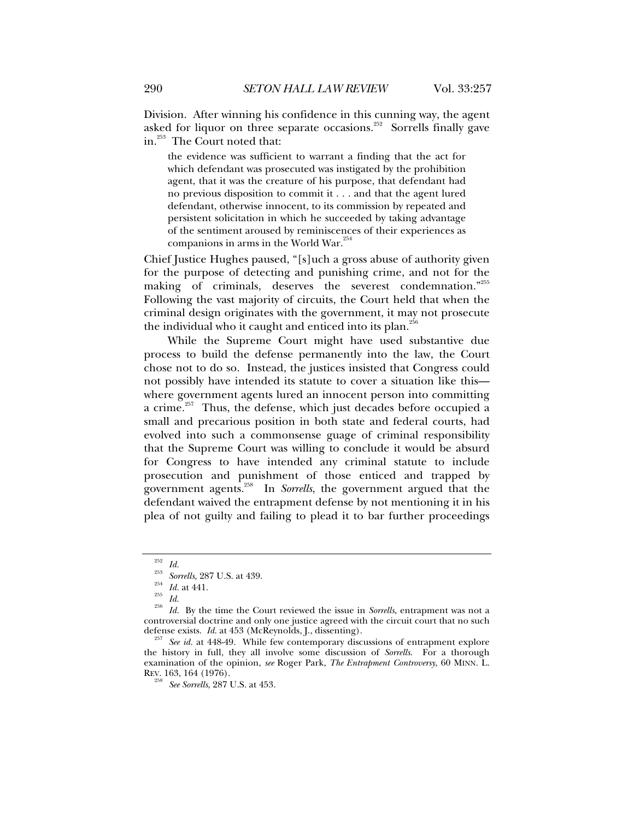Division. After winning his confidence in this cunning way, the agent asked for liquor on three separate occasions.<sup>252</sup> Sorrells finally gave in.253 The Court noted that:

the evidence was sufficient to warrant a finding that the act for which defendant was prosecuted was instigated by the prohibition agent, that it was the creature of his purpose, that defendant had no previous disposition to commit it . . . and that the agent lured defendant, otherwise innocent, to its commission by repeated and persistent solicitation in which he succeeded by taking advantage of the sentiment aroused by reminiscences of their experiences as companions in arms in the World War. $^{254}$ 

Chief Justice Hughes paused, "[s]uch a gross abuse of authority given for the purpose of detecting and punishing crime, and not for the making of criminals, deserves the severest condemnation."255 Following the vast majority of circuits, the Court held that when the criminal design originates with the government, it may not prosecute the individual who it caught and enticed into its plan.<sup>256</sup>

While the Supreme Court might have used substantive due process to build the defense permanently into the law, the Court chose not to do so. Instead, the justices insisted that Congress could not possibly have intended its statute to cover a situation like this where government agents lured an innocent person into committing a crime.<sup>257</sup> Thus, the defense, which just decades before occupied a small and precarious position in both state and federal courts, had evolved into such a commonsense guage of criminal responsibility that the Supreme Court was willing to conclude it would be absurd for Congress to have intended any criminal statute to include prosecution and punishment of those enticed and trapped by government agents.258 In *Sorrells*, the government argued that the defendant waived the entrapment defense by not mentioning it in his plea of not guilty and failing to plead it to bar further proceedings

<sup>252</sup> *Id.* <sup>253</sup> *Sorrells*, 287 U.S. at 439. 254 *Id.* at 441. 255 *Id.* <sup>256</sup> *Id.* By the time the Court reviewed the issue in *Sorrells*, entrapment was not a controversial doctrine and only one justice agreed with the circuit court that no such defense exists.  $Id$  at  $453$  (McReynolds, J., dissenting).

See id. at 448-49. While few contemporary discussions of entrapment explore the history in full, they all involve some discussion of *Sorrells*. For a thorough examination of the opinion, *see* Roger Park, *The Entrapment Controversy*, 60 MINN. L. REV. 163, 164 (1976).

<sup>258</sup> *See Sorrells*, 287 U.S. at 453.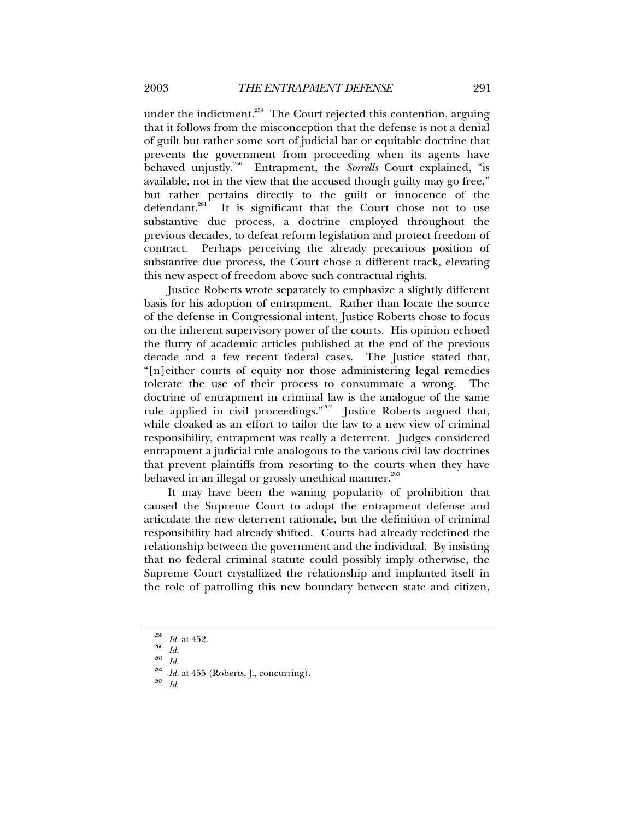under the indictment.<sup>259</sup> The Court rejected this contention, arguing that it follows from the misconception that the defense is not a denial of guilt but rather some sort of judicial bar or equitable doctrine that prevents the government from proceeding when its agents have behaved unjustly.<sup>260</sup> Entrapment, the *Sorrells* Court explained, "is available, not in the view that the accused though guilty may go free," but rather pertains directly to the guilt or innocence of the defendant.<sup>261</sup> It is significant that the Court chose not to use It is significant that the Court chose not to use substantive due process, a doctrine employed throughout the previous decades, to defeat reform legislation and protect freedom of contract. Perhaps perceiving the already precarious position of substantive due process, the Court chose a different track, elevating this new aspect of freedom above such contractual rights.

Justice Roberts wrote separately to emphasize a slightly different basis for his adoption of entrapment. Rather than locate the source of the defense in Congressional intent, Justice Roberts chose to focus on the inherent supervisory power of the courts. His opinion echoed the flurry of academic articles published at the end of the previous decade and a few recent federal cases. The Justice stated that, "[n]either courts of equity nor those administering legal remedies tolerate the use of their process to consummate a wrong. The doctrine of entrapment in criminal law is the analogue of the same rule applied in civil proceedings."<sup>262</sup> Justice Roberts argued that, while cloaked as an effort to tailor the law to a new view of criminal responsibility, entrapment was really a deterrent. Judges considered entrapment a judicial rule analogous to the various civil law doctrines that prevent plaintiffs from resorting to the courts when they have behaved in an illegal or grossly unethical manner.<sup>263</sup>

It may have been the waning popularity of prohibition that caused the Supreme Court to adopt the entrapment defense and articulate the new deterrent rationale, but the definition of criminal responsibility had already shifted. Courts had already redefined the relationship between the government and the individual. By insisting that no federal criminal statute could possibly imply otherwise, the Supreme Court crystallized the relationship and implanted itself in the role of patrolling this new boundary between state and citizen,

<sup>&</sup>lt;sup>259</sup> *Id.* at 452.<br><sup>260</sup> *Id.*<br><sup>261</sup> *Id. Id.* at 455 (Roberts, J., concurring).<br><sup>263</sup> *Id.*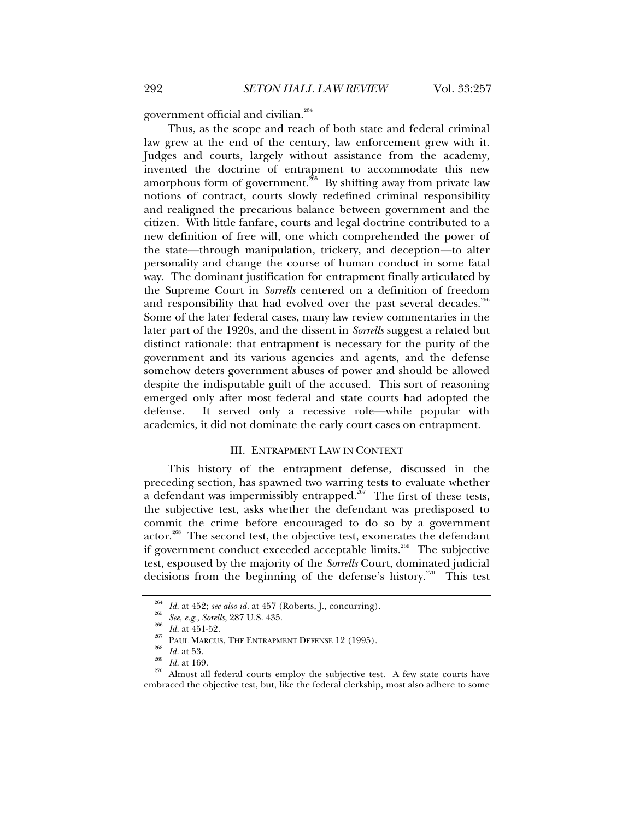government official and civilian.<sup>264</sup>

Thus, as the scope and reach of both state and federal criminal law grew at the end of the century, law enforcement grew with it. Judges and courts, largely without assistance from the academy, invented the doctrine of entrapment to accommodate this new amorphous form of government.<sup>265</sup> By shifting away from private law notions of contract, courts slowly redefined criminal responsibility and realigned the precarious balance between government and the citizen. With little fanfare, courts and legal doctrine contributed to a new definition of free will, one which comprehended the power of the state—through manipulation, trickery, and deception—to alter personality and change the course of human conduct in some fatal way. The dominant justification for entrapment finally articulated by the Supreme Court in *Sorrells* centered on a definition of freedom and responsibility that had evolved over the past several decades.<sup>266</sup> Some of the later federal cases, many law review commentaries in the later part of the 1920s, and the dissent in *Sorrells* suggest a related but distinct rationale: that entrapment is necessary for the purity of the government and its various agencies and agents, and the defense somehow deters government abuses of power and should be allowed despite the indisputable guilt of the accused. This sort of reasoning emerged only after most federal and state courts had adopted the defense. It served only a recessive role—while popular with academics, it did not dominate the early court cases on entrapment.

#### III. ENTRAPMENT LAW IN CONTEXT

This history of the entrapment defense, discussed in the preceding section, has spawned two warring tests to evaluate whether a defendant was impermissibly entrapped. $267$  The first of these tests, the subjective test, asks whether the defendant was predisposed to commit the crime before encouraged to do so by a government actor.<sup>268</sup> The second test, the objective test, exonerates the defendant if government conduct exceeded acceptable limits.<sup>269</sup> The subjective test, espoused by the majority of the *Sorrells* Court, dominated judicial decisions from the beginning of the defense's history.<sup>270</sup> This test

<sup>&</sup>lt;sup>264</sup> *Id.* at 452; *see also id.* at 457 (Roberts, J., concurring).<br>
<sup>265</sup> *Id.* at 451-52.<br>
<sup>266</sup> *Id.* at 451-52.<br>
<sup>266</sup> PAUL MARCUS, THE ENTRAPMENT DEFENSE 12 (1995).<br> *Id.* at 53.<br> *Id.* at 169.<br>
<sup>270</sup> Almost all fed embraced the objective test, but, like the federal clerkship, most also adhere to some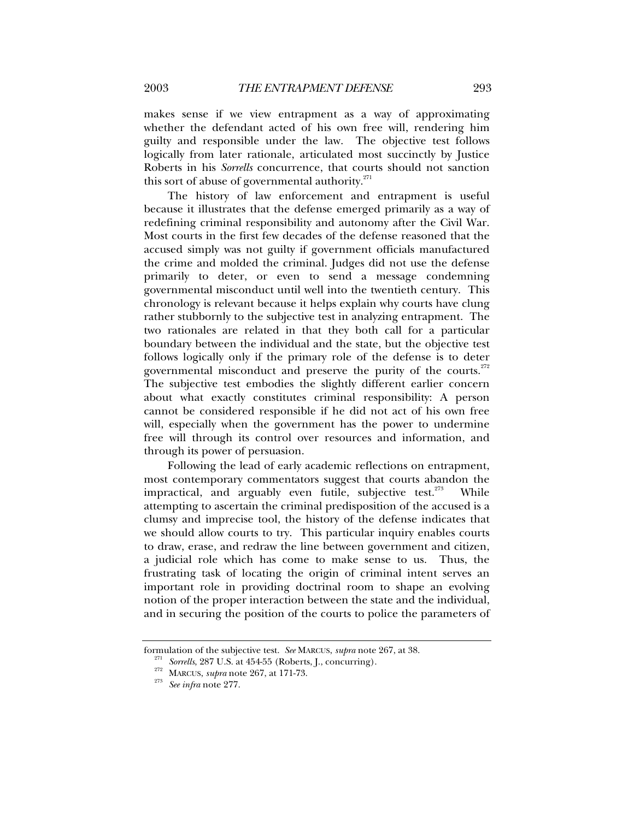makes sense if we view entrapment as a way of approximating whether the defendant acted of his own free will, rendering him guilty and responsible under the law. The objective test follows logically from later rationale, articulated most succinctly by Justice Roberts in his *Sorrells* concurrence, that courts should not sanction this sort of abuse of governmental authority. $271$ 

The history of law enforcement and entrapment is useful because it illustrates that the defense emerged primarily as a way of redefining criminal responsibility and autonomy after the Civil War. Most courts in the first few decades of the defense reasoned that the accused simply was not guilty if government officials manufactured the crime and molded the criminal. Judges did not use the defense primarily to deter, or even to send a message condemning governmental misconduct until well into the twentieth century. This chronology is relevant because it helps explain why courts have clung rather stubbornly to the subjective test in analyzing entrapment. The two rationales are related in that they both call for a particular boundary between the individual and the state, but the objective test follows logically only if the primary role of the defense is to deter governmental misconduct and preserve the purity of the courts.<sup>272</sup> The subjective test embodies the slightly different earlier concern about what exactly constitutes criminal responsibility: A person cannot be considered responsible if he did not act of his own free will, especially when the government has the power to undermine free will through its control over resources and information, and through its power of persuasion.

Following the lead of early academic reflections on entrapment, most contemporary commentators suggest that courts abandon the impractical, and arguably even futile, subjective test.<sup>273</sup> While attempting to ascertain the criminal predisposition of the accused is a clumsy and imprecise tool, the history of the defense indicates that we should allow courts to try. This particular inquiry enables courts to draw, erase, and redraw the line between government and citizen, a judicial role which has come to make sense to us. Thus, the frustrating task of locating the origin of criminal intent serves an important role in providing doctrinal room to shape an evolving notion of the proper interaction between the state and the individual, and in securing the position of the courts to police the parameters of

formulation of the subjective test. *See* MARCUS, *supra* note 267, at 38.<br><sup>271</sup> Sorrells, 287 U.S. at 454-55 (Roberts, J., concurring).<br><sup>272</sup> MARCUS, *supra* note 267, at 171-73.<br><sup>273</sup> See infra note 277.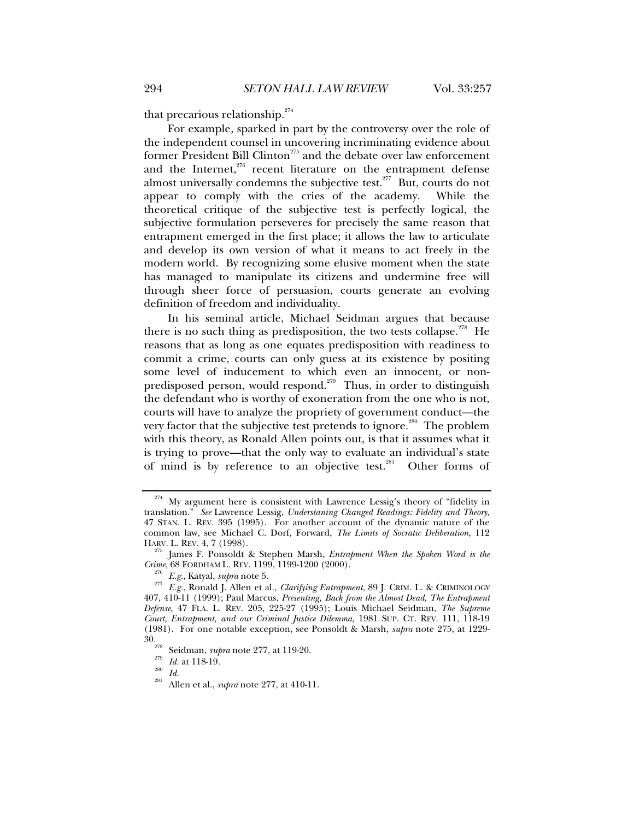that precarious relationship.<sup>274</sup>

For example, sparked in part by the controversy over the role of the independent counsel in uncovering incriminating evidence about former President Bill Clinton<sup>275</sup> and the debate over law enforcement and the Internet,<sup>276</sup> recent literature on the entrapment defense almost universally condemns the subjective test. $277$  But, courts do not appear to comply with the cries of the academy. While the theoretical critique of the subjective test is perfectly logical, the subjective formulation perseveres for precisely the same reason that entrapment emerged in the first place; it allows the law to articulate and develop its own version of what it means to act freely in the modern world. By recognizing some elusive moment when the state has managed to manipulate its citizens and undermine free will through sheer force of persuasion, courts generate an evolving definition of freedom and individuality.

In his seminal article, Michael Seidman argues that because there is no such thing as predisposition, the two tests collapse.<sup>278</sup> He reasons that as long as one equates predisposition with readiness to commit a crime, courts can only guess at its existence by positing some level of inducement to which even an innocent, or nonpredisposed person, would respond.<sup>279</sup> Thus, in order to distinguish the defendant who is worthy of exoneration from the one who is not, courts will have to analyze the propriety of government conduct—the very factor that the subjective test pretends to ignore.<sup>280</sup> The problem with this theory, as Ronald Allen points out, is that it assumes what it is trying to prove—that the only way to evaluate an individual's state of mind is by reference to an objective test.<sup>281</sup> Other forms of

 $274$  My argument here is consistent with Lawrence Lessig's theory of "fidelity in translation." *See* Lawrence Lessig, *Understaning Changed Readings: Fidelity and Theory*, 47 STAN. L. REV. 395 (1995). For another account of the dynamic nature of the common law, see Michael C. Dorf, Forward, *The Limits of Socratic Deliberation*, 112

<sup>&</sup>lt;sup>275</sup> James F. Ponsoldt & Stephen Marsh, *Entrapment When the Spoken Word is the Crime*, 68 FORDHAM L. REV. 1199, 1199-1200 (2000).

*Crime*, 68 FORDHAM L. REV. 1199, 1199-1200 (2000). 276 *E.g.*, Katyal, *supra* note 5. 277 *E.g.*, Ronald J. Allen et al., *Clarifying Entrapment*, 89 J. CRIM. L. & CRIMINOLOGY 407, 410-11 (1999); Paul Marcus, *Presenting, Back from the Almost Dead, The Entrapment Defense*, 47 FLA. L. REV. 205, 225-27 (1995); Louis Michael Seidman, *The Supreme Court, Entrapment, and our Criminal Justice Dilemma,* 1981 SUP. CT. REV. 111, 118-19 (1981). For one notable exception, see Ponsoldt & Marsh, *supra* note 275, at 1229-

<sup>30. 278</sup> Seidman, *supra* note 277, at 119-20. 279 *Id.* at 118-19. 280 *Id.* 281 Allen et al., *supra* note 277, at 410-11.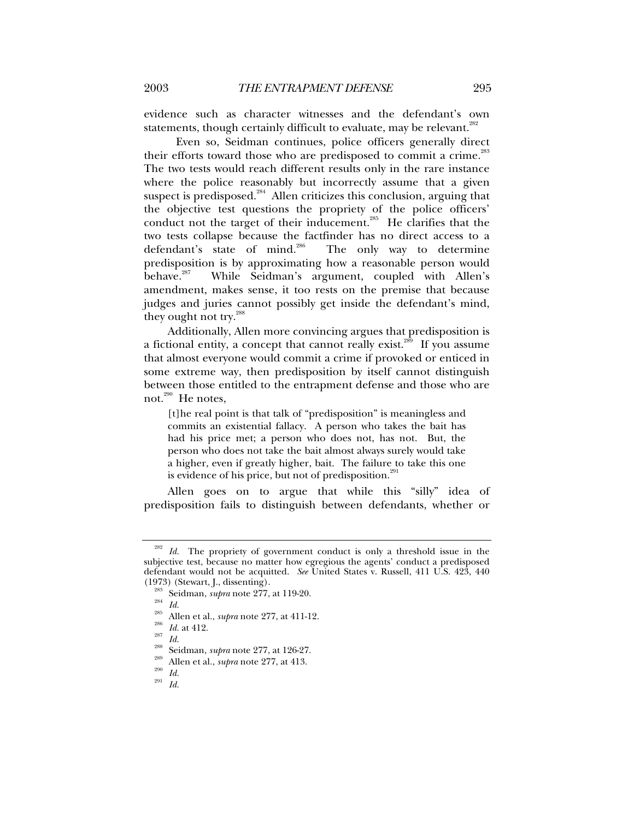evidence such as character witnesses and the defendant's own statements, though certainly difficult to evaluate, may be relevant. $282$ 

 Even so, Seidman continues, police officers generally direct their efforts toward those who are predisposed to commit a crime.<sup>283</sup> The two tests would reach different results only in the rare instance where the police reasonably but incorrectly assume that a given suspect is predisposed.<sup>284</sup> Allen criticizes this conclusion, arguing that the objective test questions the propriety of the police officers' conduct not the target of their inducement.<sup>285</sup> He clarifies that the two tests collapse because the factfinder has no direct access to a defendant's state of mind.<sup>286</sup> The only way to determine predisposition is by approximating how a reasonable person would behave.<sup>287</sup> While Seidman's argument, coupled with Allen's amendment, makes sense, it too rests on the premise that because judges and juries cannot possibly get inside the defendant's mind, they ought not try.<sup>288</sup>

Additionally, Allen more convincing argues that predisposition is a fictional entity, a concept that cannot really exist.<sup>289</sup> If you assume that almost everyone would commit a crime if provoked or enticed in some extreme way, then predisposition by itself cannot distinguish between those entitled to the entrapment defense and those who are not.<sup>290</sup> He notes,

[t]he real point is that talk of "predisposition" is meaningless and commits an existential fallacy. A person who takes the bait has had his price met; a person who does not, has not. But, the person who does not take the bait almost always surely would take a higher, even if greatly higher, bait. The failure to take this one is evidence of his price, but not of predisposition.<sup>291</sup>

Allen goes on to argue that while this "silly" idea of predisposition fails to distinguish between defendants, whether or

Id. The propriety of government conduct is only a threshold issue in the subjective test, because no matter how egregious the agents' conduct a predisposed defendant would not be acquitted. *See* United States v. Russell, 411 U.S. 423, 440

<sup>(1973) (</sup>Stewart, J., dissenting).<br>
<sup>283</sup> Seidman, *supra* note 277, at 119-20.<br>
<sup>284</sup> Id.<br>
<sup>285</sup> Allen et al., *supra* note 277, at 411-12.<br>
<sup>285</sup> Id. at 412.<br>
<sup>285</sup> Id. at 412.<br>
<sup>287</sup> Id.<br>
Seidman, *supra* note 277, at 1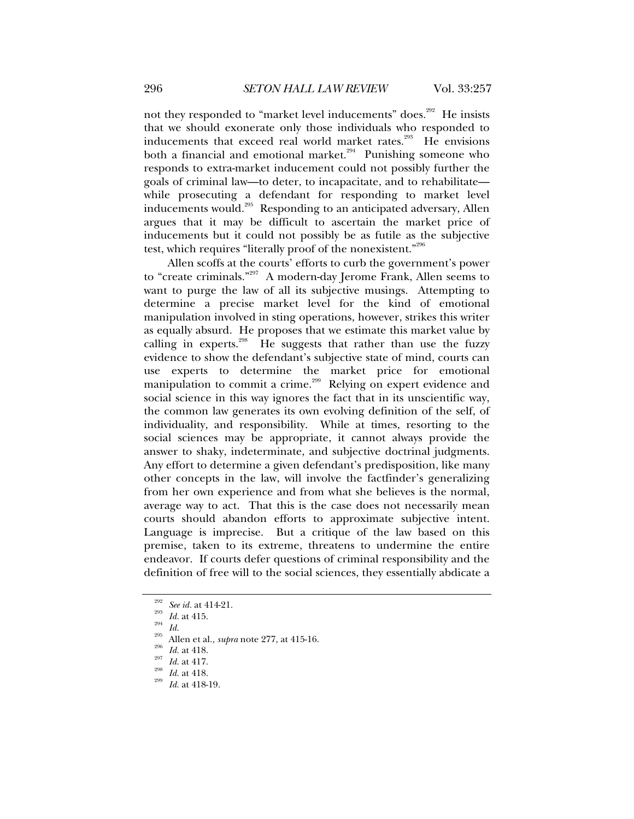not they responded to "market level inducements" does.<sup>292</sup> He insists that we should exonerate only those individuals who responded to inducements that exceed real world market rates.<sup>293</sup> He envisions both a financial and emotional market.<sup>294</sup> Punishing someone who responds to extra-market inducement could not possibly further the goals of criminal law—to deter, to incapacitate, and to rehabilitate while prosecuting a defendant for responding to market level inducements would.295 Responding to an anticipated adversary, Allen argues that it may be difficult to ascertain the market price of inducements but it could not possibly be as futile as the subjective test, which requires "literally proof of the nonexistent."296

Allen scoffs at the courts' efforts to curb the government's power to "create criminals."297 A modern-day Jerome Frank, Allen seems to want to purge the law of all its subjective musings. Attempting to determine a precise market level for the kind of emotional manipulation involved in sting operations, however, strikes this writer as equally absurd. He proposes that we estimate this market value by calling in experts.<sup>298</sup> He suggests that rather than use the fuzzy evidence to show the defendant's subjective state of mind, courts can use experts to determine the market price for emotional manipulation to commit a crime.<sup>299</sup> Relying on expert evidence and social science in this way ignores the fact that in its unscientific way, the common law generates its own evolving definition of the self, of individuality, and responsibility. While at times, resorting to the social sciences may be appropriate, it cannot always provide the answer to shaky, indeterminate, and subjective doctrinal judgments. Any effort to determine a given defendant's predisposition, like many other concepts in the law, will involve the factfinder's generalizing from her own experience and from what she believes is the normal, average way to act. That this is the case does not necessarily mean courts should abandon efforts to approximate subjective intent. Language is imprecise. But a critique of the law based on this premise, taken to its extreme, threatens to undermine the entire endeavor. If courts defer questions of criminal responsibility and the definition of free will to the social sciences, they essentially abdicate a

<sup>&</sup>lt;sup>292</sup> *See id.* at 414-21.<br><sup>293</sup> *Id.* at 415.<br><sup>295</sup> Allen et al., *supra* note 277, at 415-16.<br><sup>296</sup> *Id.* at 418.<br>*Id.* at 418.<br>*299 Id.* at 418.<br>*299 Id.* at 418-19.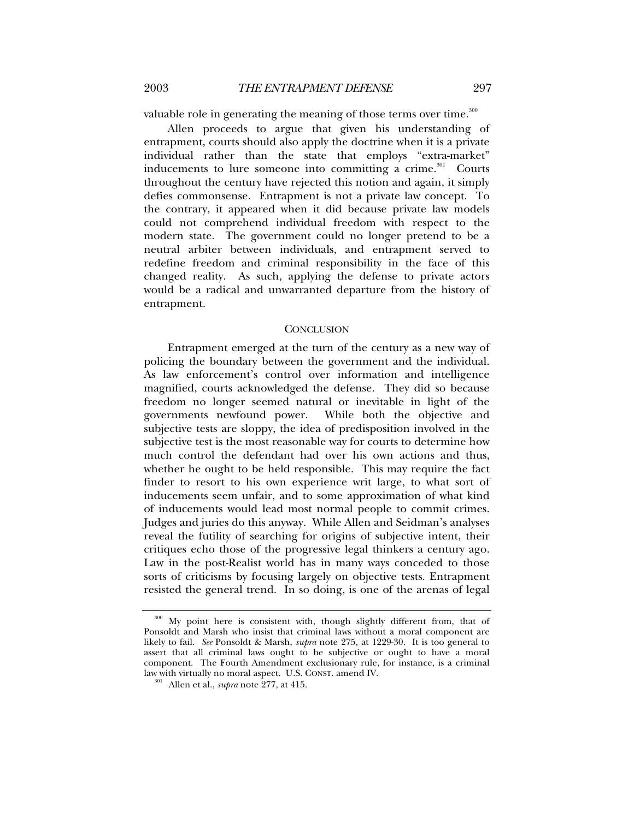valuable role in generating the meaning of those terms over time.<sup>300</sup>

Allen proceeds to argue that given his understanding of entrapment, courts should also apply the doctrine when it is a private individual rather than the state that employs "extra-market" inducements to lure someone into committing a crime.<sup>301</sup> Courts throughout the century have rejected this notion and again, it simply defies commonsense. Entrapment is not a private law concept. To the contrary, it appeared when it did because private law models could not comprehend individual freedom with respect to the modern state. The government could no longer pretend to be a neutral arbiter between individuals, and entrapment served to redefine freedom and criminal responsibility in the face of this changed reality. As such, applying the defense to private actors would be a radical and unwarranted departure from the history of entrapment.

#### **CONCLUSION**

Entrapment emerged at the turn of the century as a new way of policing the boundary between the government and the individual. As law enforcement's control over information and intelligence magnified, courts acknowledged the defense. They did so because freedom no longer seemed natural or inevitable in light of the governments newfound power. While both the objective and subjective tests are sloppy, the idea of predisposition involved in the subjective test is the most reasonable way for courts to determine how much control the defendant had over his own actions and thus, whether he ought to be held responsible. This may require the fact finder to resort to his own experience writ large, to what sort of inducements seem unfair, and to some approximation of what kind of inducements would lead most normal people to commit crimes. Judges and juries do this anyway. While Allen and Seidman's analyses reveal the futility of searching for origins of subjective intent, their critiques echo those of the progressive legal thinkers a century ago. Law in the post-Realist world has in many ways conceded to those sorts of criticisms by focusing largely on objective tests. Entrapment resisted the general trend. In so doing, is one of the arenas of legal

<sup>300</sup> My point here is consistent with, though slightly different from, that of Ponsoldt and Marsh who insist that criminal laws without a moral component are likely to fail. *See* Ponsoldt & Marsh, *supra* note 275, at 1229-30. It is too general to assert that all criminal laws ought to be subjective or ought to have a moral component. The Fourth Amendment exclusionary rule, for instance, is a criminal law with virtually no moral aspect. U.S. CONST. amend IV. 301 Allen et al., *supra* note 277, at 415.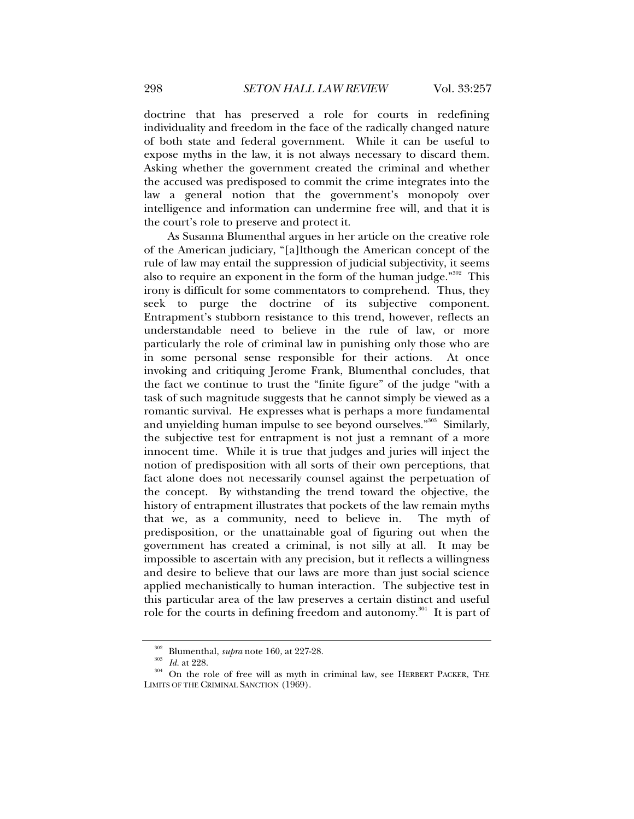doctrine that has preserved a role for courts in redefining individuality and freedom in the face of the radically changed nature of both state and federal government. While it can be useful to expose myths in the law, it is not always necessary to discard them. Asking whether the government created the criminal and whether the accused was predisposed to commit the crime integrates into the law a general notion that the government's monopoly over intelligence and information can undermine free will, and that it is the court's role to preserve and protect it.

As Susanna Blumenthal argues in her article on the creative role of the American judiciary, "[a]lthough the American concept of the rule of law may entail the suppression of judicial subjectivity, it seems also to require an exponent in the form of the human judge."<sup>302</sup> This irony is difficult for some commentators to comprehend. Thus, they seek to purge the doctrine of its subjective component. Entrapment's stubborn resistance to this trend, however, reflects an understandable need to believe in the rule of law, or more particularly the role of criminal law in punishing only those who are in some personal sense responsible for their actions. At once invoking and critiquing Jerome Frank, Blumenthal concludes, that the fact we continue to trust the "finite figure" of the judge "with a task of such magnitude suggests that he cannot simply be viewed as a romantic survival. He expresses what is perhaps a more fundamental and unyielding human impulse to see beyond ourselves."303 Similarly, the subjective test for entrapment is not just a remnant of a more innocent time. While it is true that judges and juries will inject the notion of predisposition with all sorts of their own perceptions, that fact alone does not necessarily counsel against the perpetuation of the concept. By withstanding the trend toward the objective, the history of entrapment illustrates that pockets of the law remain myths that we, as a community, need to believe in. The myth of predisposition, or the unattainable goal of figuring out when the government has created a criminal, is not silly at all. It may be impossible to ascertain with any precision, but it reflects a willingness and desire to believe that our laws are more than just social science applied mechanistically to human interaction. The subjective test in this particular area of the law preserves a certain distinct and useful role for the courts in defining freedom and autonomy.<sup>304</sup> It is part of

<sup>&</sup>lt;sup>302</sup> Blumenthal, *supra* note 160, at 227-28.<br><sup>303</sup> *Id.* at 228.<br><sup>304</sup> On the role of free will as myth in criminal law, see HERBERT PACKER, THE LIMITS OF THE CRIMINAL SANCTION (1969).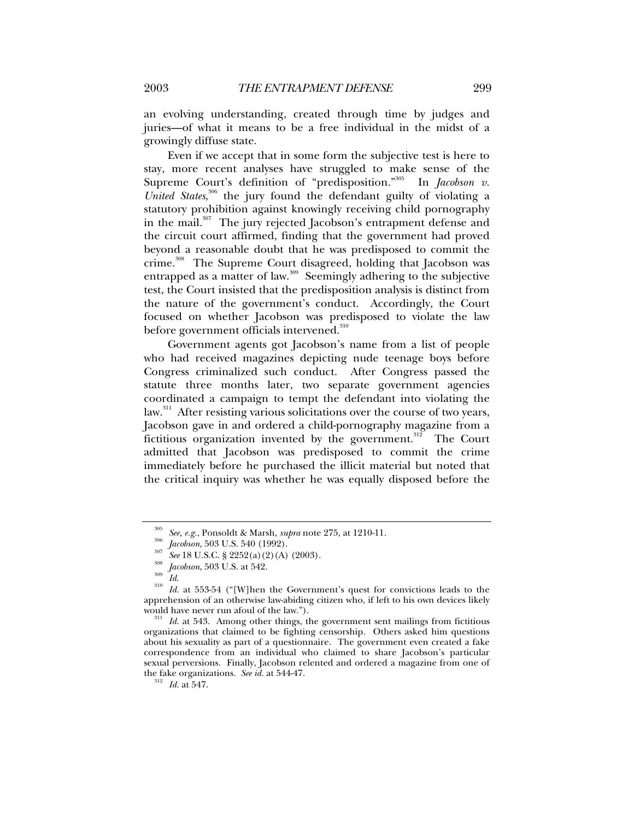an evolving understanding, created through time by judges and juries—of what it means to be a free individual in the midst of a growingly diffuse state.

Even if we accept that in some form the subjective test is here to stay, more recent analyses have struggled to make sense of the Supreme Court's definition of "predisposition."<sup>305</sup> In *Jacobson v*. *United States*, 306 the jury found the defendant guilty of violating a statutory prohibition against knowingly receiving child pornography in the mail.<sup>307</sup> The jury rejected Jacobson's entrapment defense and the circuit court affirmed, finding that the government had proved beyond a reasonable doubt that he was predisposed to commit the crime.<sup>308</sup> The Supreme Court disagreed, holding that Jacobson was entrapped as a matter of law.<sup>309</sup> Seemingly adhering to the subjective test, the Court insisted that the predisposition analysis is distinct from the nature of the government's conduct. Accordingly, the Court focused on whether Jacobson was predisposed to violate the law before government officials intervened.<sup>310</sup>

Government agents got Jacobson's name from a list of people who had received magazines depicting nude teenage boys before Congress criminalized such conduct. After Congress passed the statute three months later, two separate government agencies coordinated a campaign to tempt the defendant into violating the law.<sup>311</sup> After resisting various solicitations over the course of two years, Jacobson gave in and ordered a child-pornography magazine from a fictitious organization invented by the government.<sup>312</sup> The Court admitted that Jacobson was predisposed to commit the crime immediately before he purchased the illicit material but noted that the critical inquiry was whether he was equally disposed before the

<sup>&</sup>lt;sup>305</sup> See, e.g., Ponsoldt & Marsh, *supra* note 275, at 1210-11.<br><sup>306</sup> *Jacobson*, 503 U.S. 540 (1992).<br><sup>307</sup> See 18 U.S.C. § 2252(a)(2)(A) (2003).<br><sup>308</sup> *Jacobson*, 503 U.S. at 542.<br>*Id.*<br><sup>310</sup> *Id.* at 553-54 ("[W]hen t apprehension of an otherwise law-abiding citizen who, if left to his own devices likely

would have never run afoul of the law.").<br><sup>311</sup> *Id.* at 543. Among other things, the government sent mailings from fictitious organizations that claimed to be fighting censorship. Others asked him questions about his sexuality as part of a questionnaire. The government even created a fake correspondence from an individual who claimed to share Jacobson's particular sexual perversions. Finally, Jacobson relented and ordered a magazine from one of the fake organizations. *See id.* at 544-47. 312 *Id.* at 547.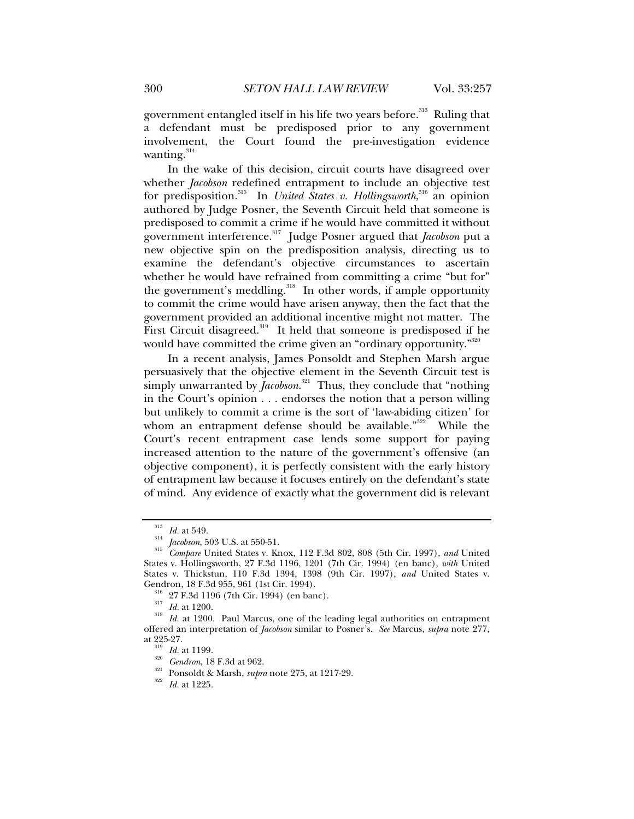government entangled itself in his life two years before.<sup>313</sup> Ruling that a defendant must be predisposed prior to any government involvement, the Court found the pre-investigation evidence wanting. $314$ 

In the wake of this decision, circuit courts have disagreed over whether *Jacobson* redefined entrapment to include an objective test for predisposition.<sup>315</sup> In *United States v. Hollingsworth*,<sup>316</sup> an opinion authored by Judge Posner, the Seventh Circuit held that someone is predisposed to commit a crime if he would have committed it without government interference.317 Judge Posner argued that *Jacobson* put a new objective spin on the predisposition analysis, directing us to examine the defendant's objective circumstances to ascertain whether he would have refrained from committing a crime "but for" the government's meddling.<sup>318</sup> In other words, if ample opportunity to commit the crime would have arisen anyway, then the fact that the government provided an additional incentive might not matter. The First Circuit disagreed.<sup>319</sup> It held that someone is predisposed if he would have committed the crime given an "ordinary opportunity."<sup>320</sup>

In a recent analysis, James Ponsoldt and Stephen Marsh argue persuasively that the objective element in the Seventh Circuit test is simply unwarranted by *Jacobson*. 321 Thus, they conclude that "nothing in the Court's opinion . . . endorses the notion that a person willing but unlikely to commit a crime is the sort of 'law-abiding citizen' for whom an entrapment defense should be available."<sup>322</sup> While the Court's recent entrapment case lends some support for paying increased attention to the nature of the government's offensive (an objective component), it is perfectly consistent with the early history of entrapment law because it focuses entirely on the defendant's state of mind. Any evidence of exactly what the government did is relevant

<sup>313</sup> *Id.* at 549. 314 *Jacobson*, 503 U.S. at 550-51. 315 *Compare* United States v. Knox, 112 F.3d 802, 808 (5th Cir. 1997), *and* United States v. Hollingsworth, 27 F.3d 1196, 1201 (7th Cir. 1994) (en banc), *with* United States v. Thickstun, 110 F.3d 1394, 1398 (9th Cir. 1997), *and* United States v.

<sup>&</sup>lt;sup>316</sup> 27 F.3d 1196 (7th Cir. 1994) (en banc).<br><sup>317</sup> *Id.* at 1200. Paul Marcus, one of the leading legal authorities on entrapment *Id.* at 1200. Paul Marcus, one of the leading legal authorities on entrapment offered an interpretation of *Jacobson* similar to Posner's. *See* Marcus, *supra* note 277,

<sup>&</sup>lt;sup>319</sup> *Id.* at 1199.<br><sup>320</sup> *Gendron*, 18 F.3d at 962.<br><sup>321</sup> Ponsoldt & Marsh, *supra* note 275, at 1217-29.<br>*Id.* at 1225.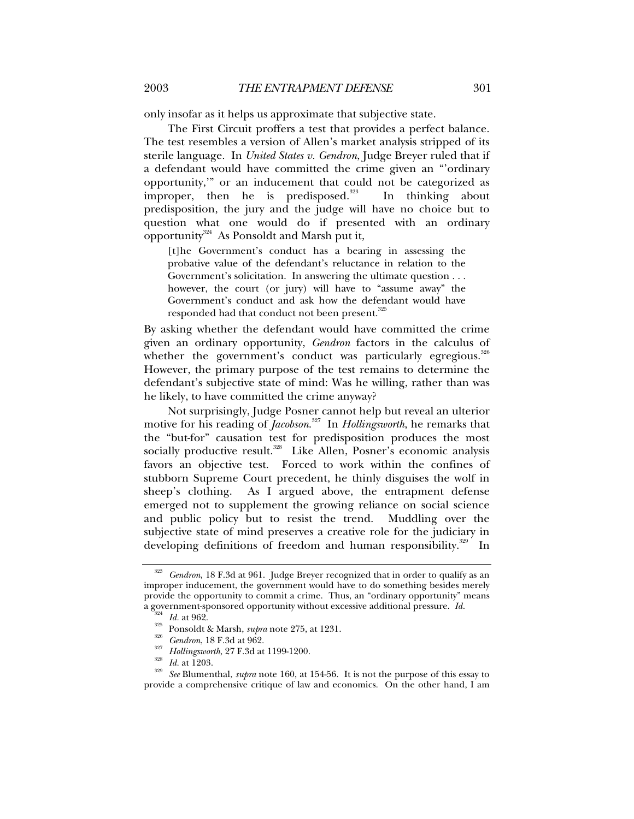only insofar as it helps us approximate that subjective state.

The First Circuit proffers a test that provides a perfect balance. The test resembles a version of Allen's market analysis stripped of its sterile language. In *United States v. Gendron*, Judge Breyer ruled that if a defendant would have committed the crime given an "'ordinary opportunity,'" or an inducement that could not be categorized as improper, then he is predisposed.<sup>323</sup> In thinking about predisposition, the jury and the judge will have no choice but to question what one would do if presented with an ordinary opportunity<sup>324</sup> As Ponsoldt and Marsh put it,

[t]he Government's conduct has a bearing in assessing the probative value of the defendant's reluctance in relation to the Government's solicitation. In answering the ultimate question . . . however, the court (or jury) will have to "assume away" the Government's conduct and ask how the defendant would have responded had that conduct not been present.<sup>325</sup>

By asking whether the defendant would have committed the crime given an ordinary opportunity, *Gendron* factors in the calculus of whether the government's conduct was particularly egregious.<sup>326</sup> However, the primary purpose of the test remains to determine the defendant's subjective state of mind: Was he willing, rather than was he likely, to have committed the crime anyway?

Not surprisingly, Judge Posner cannot help but reveal an ulterior motive for his reading of *Jacobson*. 327 In *Hollingsworth*, he remarks that the "but-for" causation test for predisposition produces the most socially productive result.<sup>328</sup> Like Allen, Posner's economic analysis favors an objective test. Forced to work within the confines of stubborn Supreme Court precedent, he thinly disguises the wolf in sheep's clothing. As I argued above, the entrapment defense emerged not to supplement the growing reliance on social science and public policy but to resist the trend. Muddling over the subjective state of mind preserves a creative role for the judiciary in developing definitions of freedom and human responsibility.<sup>329</sup> In

<sup>323</sup> *Gendron*, 18 F.3d at 961. Judge Breyer recognized that in order to qualify as an improper inducement, the government would have to do something besides merely provide the opportunity to commit a crime. Thus, an "ordinary opportunity" means a government-sponsored opportunity without excessive additional pressure.  $Id$ .

<sup>&</sup>lt;sup>324</sup> *Id.* at 962.<br>
Ponsoldt & Marsh, *supra* note 275, at 1231.<br>
<sup>326</sup> *Gendron*, 18 F.3d at 962.<br> *All Hollingsworth*, 27 F.3d at 1199-1200.<br> *All at 1203.*<br> *See* Blumenthal, *supra* note 160, at 154-56. It is not the provide a comprehensive critique of law and economics. On the other hand, I am